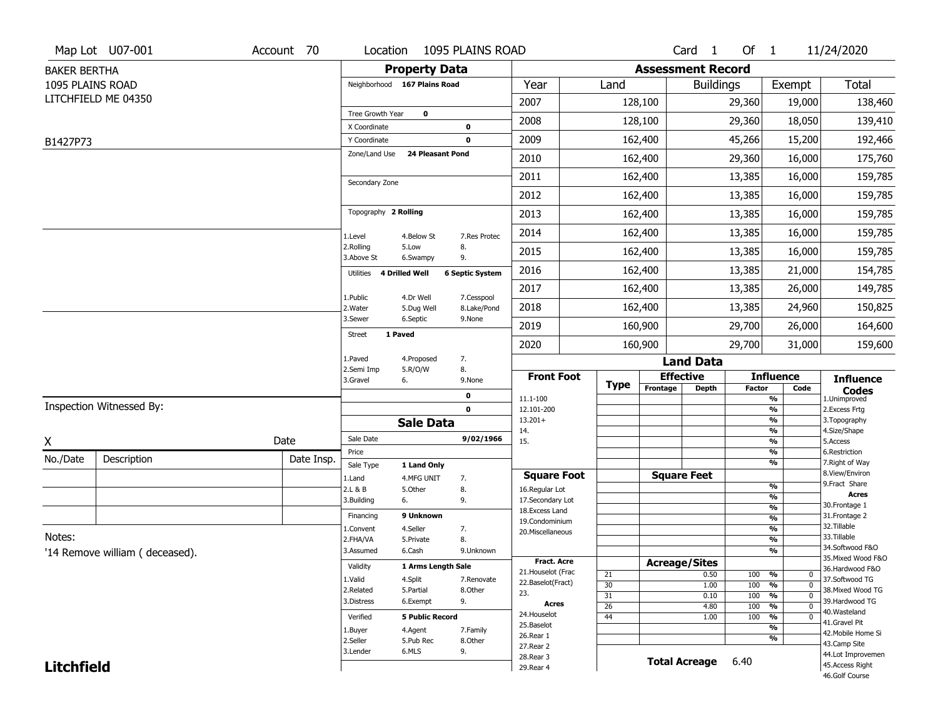|                     | Map Lot U07-001                | Account 70 | Location                      |                           | 1095 PLAINS ROAD       |                                   |                       |                          | Card <sub>1</sub>    | Of 1       |                                            | 11/24/2020                            |
|---------------------|--------------------------------|------------|-------------------------------|---------------------------|------------------------|-----------------------------------|-----------------------|--------------------------|----------------------|------------|--------------------------------------------|---------------------------------------|
| <b>BAKER BERTHA</b> |                                |            |                               | <b>Property Data</b>      |                        |                                   |                       | <b>Assessment Record</b> |                      |            |                                            |                                       |
| 1095 PLAINS ROAD    |                                |            | Neighborhood 167 Plains Road  |                           |                        | Year                              | Land                  |                          | <b>Buildings</b>     |            | Exempt                                     | <b>Total</b>                          |
|                     | LITCHFIELD ME 04350            |            |                               |                           |                        | 2007                              |                       | 128,100                  |                      | 29,360     | 19,000                                     | 138,460                               |
|                     |                                |            | Tree Growth Year              | 0                         |                        | 2008                              |                       | 128,100                  |                      | 29,360     | 18,050                                     | 139,410                               |
|                     |                                |            | X Coordinate                  |                           | 0                      | 2009                              |                       |                          |                      | 45,266     |                                            |                                       |
| B1427P73            |                                |            | Y Coordinate<br>Zone/Land Use | <b>24 Pleasant Pond</b>   | 0                      |                                   |                       | 162,400                  |                      |            | 15,200                                     | 192,466                               |
|                     |                                |            |                               |                           |                        | 2010                              |                       | 162,400                  |                      | 29,360     | 16,000                                     | 175,760                               |
|                     |                                |            | Secondary Zone                |                           |                        | 2011                              |                       | 162,400                  |                      | 13,385     | 16,000                                     | 159,785                               |
|                     |                                |            |                               |                           |                        | 2012                              |                       | 162,400                  |                      | 13,385     | 16,000                                     | 159,785                               |
|                     |                                |            | Topography 2 Rolling          |                           |                        | 2013                              |                       | 162,400                  |                      | 13,385     | 16,000                                     | 159,785                               |
|                     |                                |            | 1.Level                       | 4.Below St                | 7.Res Protec           | 2014                              |                       | 162,400                  |                      | 13,385     | 16,000                                     | 159,785                               |
|                     |                                |            | 2.Rolling<br>3.Above St       | 5.Low<br>6.Swampy         | 8.<br>9.               | 2015                              |                       | 162,400                  |                      | 13,385     | 16,000                                     | 159,785                               |
|                     |                                |            | Utilities                     | 4 Drilled Well            | <b>6 Septic System</b> | 2016                              |                       | 162,400                  |                      | 13,385     | 21,000                                     | 154,785                               |
|                     |                                |            | 1.Public                      | 4.Dr Well                 | 7.Cesspool             | 2017                              |                       | 162,400                  |                      | 13,385     | 26,000                                     | 149,785                               |
|                     |                                |            | 2. Water                      | 5.Dug Well                | 8.Lake/Pond            | 2018                              |                       | 162,400                  |                      | 13,385     | 24,960                                     | 150,825                               |
|                     |                                |            | 3.Sewer<br>1 Paved            | 6.Septic                  | 9.None                 | 2019                              |                       | 160,900                  |                      | 29,700     | 26,000                                     | 164,600                               |
|                     |                                |            | <b>Street</b>                 |                           |                        | 2020                              |                       | 160,900                  |                      | 29,700     | 31,000                                     | 159,600                               |
|                     |                                |            | 1.Paved                       | 4.Proposed                | 7.                     |                                   |                       |                          | <b>Land Data</b>     |            |                                            |                                       |
|                     |                                |            | 2.Semi Imp<br>3.Gravel        | 5.R/O/W<br>6.             | 8.<br>9.None           | <b>Front Foot</b>                 | <b>Type</b>           |                          | <b>Effective</b>     |            | <b>Influence</b>                           | <b>Influence</b>                      |
|                     |                                |            |                               |                           | 0                      | 11.1-100                          |                       | Frontage                 | <b>Depth</b>         | Factor     | Code<br>%                                  | <b>Codes</b><br>1.Unimproved          |
|                     | Inspection Witnessed By:       |            |                               |                           | $\mathbf 0$            | 12.101-200                        |                       |                          |                      |            | $\frac{9}{6}$                              | 2.Excess Frtg                         |
|                     |                                |            |                               | <b>Sale Data</b>          |                        | $13.201+$<br>14.                  |                       |                          |                      |            | %<br>%                                     | 3. Topography<br>4.Size/Shape         |
| X                   |                                | Date       | Sale Date                     |                           | 9/02/1966              | 15.                               |                       |                          |                      |            | %                                          | 5.Access                              |
| No./Date            | Description                    | Date Insp. | Price                         |                           |                        |                                   |                       |                          |                      |            | %<br>%                                     | 6.Restriction<br>7. Right of Way      |
|                     |                                |            | Sale Type<br>1.Land           | 1 Land Only<br>4.MFG UNIT | 7.                     | <b>Square Foot</b>                |                       |                          | <b>Square Feet</b>   |            |                                            | 8.View/Environ                        |
|                     |                                |            | 2.L & B                       | 5.Other                   | 8.                     | 16.Regular Lot                    |                       |                          |                      |            | $\frac{9}{6}$                              | 9.Fract Share                         |
|                     |                                |            | 3.Building                    | 6.                        | 9.                     | 17.Secondary Lot                  |                       |                          |                      |            | %<br>$\frac{9}{6}$                         | <b>Acres</b><br>30. Frontage 1        |
|                     |                                |            | Financing                     | 9 Unknown                 |                        | 18.Excess Land<br>19.Condominium  |                       |                          |                      |            | $\overline{\frac{9}{6}}$                   | 31. Frontage 2                        |
|                     |                                |            | 1.Convent                     | 4.Seller                  | 7.                     | 20.Miscellaneous                  |                       |                          |                      |            | $\frac{9}{6}$                              | 32.Tillable                           |
| Notes:              |                                |            | 2.FHA/VA                      | 5.Private                 | 8.                     |                                   |                       |                          |                      |            | $\overline{\frac{9}{6}}$                   | 33.Tillable                           |
|                     | '14 Remove william (deceased). |            | 3.Assumed                     | 6.Cash                    | 9.Unknown              |                                   |                       |                          |                      |            | %                                          | 34.Softwood F&O<br>35. Mixed Wood F&O |
|                     |                                |            | Validity                      | 1 Arms Length Sale        |                        | Fract. Acre<br>21. Houselot (Frac |                       | <b>Acreage/Sites</b>     |                      |            |                                            | 36.Hardwood F&O                       |
|                     |                                |            | 1.Valid                       | 4.Split                   | 7.Renovate             | 22.Baselot(Fract)                 | 21                    |                          | 0.50                 | 100        | %<br>0                                     | 37.Softwood TG                        |
|                     |                                |            | 2.Related                     | 5.Partial                 | 8.Other                | 23.                               | 30<br>$\overline{31}$ |                          | 1.00<br>0.10         | 100<br>100 | $\overline{0}$<br>%<br>$\overline{0}$<br>% | 38. Mixed Wood TG                     |
|                     |                                |            | 3.Distress                    | 6.Exempt                  | 9.                     | Acres                             | $\overline{26}$       |                          | 4.80                 | 100        | $\overline{0}$<br>%                        | 39.Hardwood TG                        |
|                     |                                |            | Verified                      | <b>5 Public Record</b>    |                        | 24. Houselot                      | 44                    |                          | 1.00                 | 100        | %<br>$\mathbf 0$                           | 40.Wasteland                          |
|                     |                                |            | 1.Buyer                       | 4.Agent                   | 7.Family               | 25.Baselot                        |                       |                          |                      |            | $\overline{\frac{9}{6}}$                   | 41.Gravel Pit<br>42. Mobile Home Si   |
|                     |                                |            |                               |                           |                        |                                   |                       |                          |                      |            |                                            |                                       |
|                     |                                |            | 2.Seller                      | 5.Pub Rec                 | 8.Other                | 26.Rear 1                         |                       |                          |                      |            | %                                          |                                       |
|                     |                                |            | 3.Lender                      | 6.MLS                     | 9.                     | 27.Rear 2                         |                       |                          |                      |            |                                            | 43.Camp Site<br>44.Lot Improvemen     |
| <b>Litchfield</b>   |                                |            |                               |                           |                        | 28. Rear 3<br>29. Rear 4          |                       |                          | <b>Total Acreage</b> | 6.40       |                                            | 45.Access Right<br>46.Golf Course     |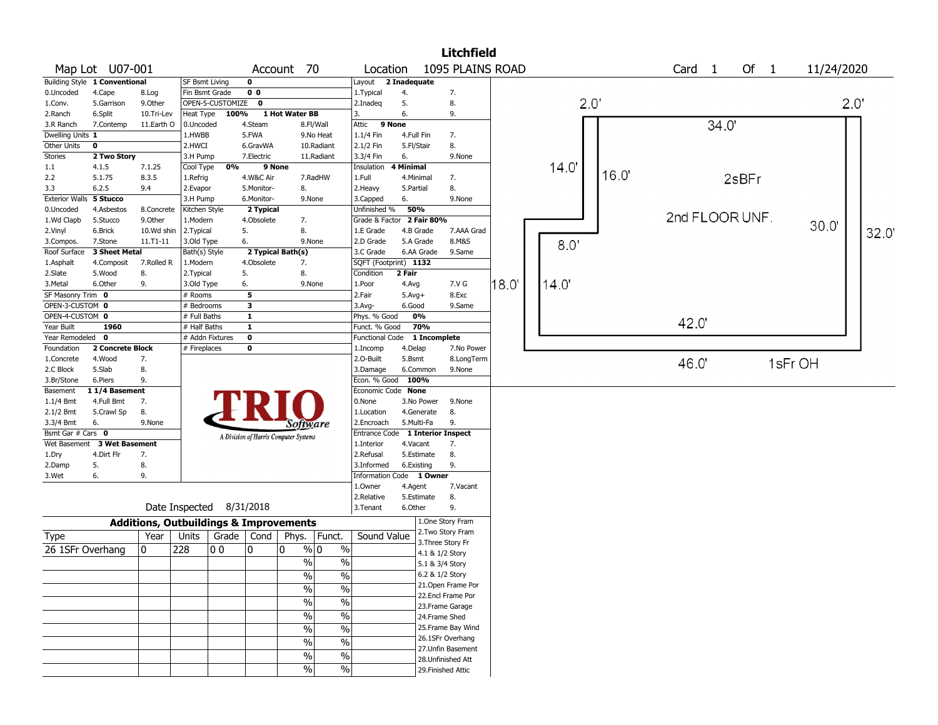|                           |                               |                                                   |                             |                  |                         |                                       |               |                                        |                  |                        | <b>Litchfield</b>                        |                  |               |      |      |                |       |      |            |       |
|---------------------------|-------------------------------|---------------------------------------------------|-----------------------------|------------------|-------------------------|---------------------------------------|---------------|----------------------------------------|------------------|------------------------|------------------------------------------|------------------|---------------|------|------|----------------|-------|------|------------|-------|
|                           | Map Lot U07-001               |                                                   |                             |                  |                         | Account 70                            |               | Location                               |                  |                        |                                          | 1095 PLAINS ROAD |               |      |      | Card 1         |       | Of 1 | 11/24/2020 |       |
|                           | Building Style 1 Conventional |                                                   | <b>SF Bsmt Living</b>       |                  | $\mathbf 0$             |                                       |               | Layout                                 | 2 Inadequate     |                        |                                          |                  |               |      |      |                |       |      |            |       |
| 0.Uncoded                 | 4.Cape                        | 8.Log                                             | Fin Bsmt Grade              |                  | 0 <sub>0</sub>          |                                       |               | 1. Typical                             | 4.               |                        | 7.                                       |                  |               |      |      |                |       |      |            |       |
| 1.Conv.                   | 5.Garrison                    | 9.0ther                                           |                             | OPEN-5-CUSTOMIZE | $\mathbf 0$             |                                       |               | 2.Inadeg                               | 5.               |                        | 8.                                       |                  | $2.0^{\circ}$ |      |      |                |       |      |            | 2.0"  |
| 2.Ranch                   | 6.Split                       | 10.Tri-Lev                                        | Heat Type                   | 100%             |                         | 1 Hot Water BB                        |               | 3.                                     | 6.               |                        | 9.                                       |                  |               |      |      |                |       |      |            |       |
| 3.R Ranch                 | 7.Contemp                     | 11.Earth O                                        | 0.Uncoded                   |                  | 4.Steam                 |                                       | 8.Fl/Wall     | Attic<br>9 None                        |                  |                        |                                          |                  |               |      |      | 34.0'          |       |      |            |       |
| Dwelling Units 1          |                               |                                                   | 1.HWBB                      |                  | 5.FWA                   |                                       | 9.No Heat     | 1.1/4 Fin                              | 4.Full Fin       |                        | 7.                                       |                  |               |      |      |                |       |      |            |       |
| Other Units               | 0                             |                                                   | 2.HWCI                      |                  | 6.GravWA                |                                       | 10.Radiant    | 2.1/2 Fin                              | 5.Fl/Stair       |                        | 8.                                       |                  |               |      |      |                |       |      |            |       |
| <b>Stories</b>            | 2 Two Story                   |                                                   | 3.H Pump                    |                  | 7.Electric              |                                       | 11.Radiant    | 3.3/4 Fin                              | 6.               |                        | 9.None                                   |                  |               |      |      |                |       |      |            |       |
| 1.1                       | 4.1.5                         | 7.1.25                                            | Cool Type                   | 0%               | 9 None                  |                                       |               | Insulation                             | <b>4 Minimal</b> |                        |                                          |                  | 14.0'         | 16.0 |      |                |       |      |            |       |
| 2.2                       | 5.1.75                        | 8.3.5                                             | 1.Refrig                    |                  | 4.W&C Air               |                                       | 7.RadHW       | 1.Full                                 | 4.Minimal        |                        | 7.                                       |                  |               |      |      |                | 2sBFr |      |            |       |
| 3.3                       | 6.2.5                         | 9.4                                               | 2.Evapor                    |                  | 5.Monitor-              | 8.                                    |               | 2. Heavy                               | 5.Partial        |                        | 8.                                       |                  |               |      |      |                |       |      |            |       |
| <b>Exterior Walls</b>     | 5 Stucco                      |                                                   | 3.H Pump                    |                  | 6.Monitor-              | 9.None                                |               | 3.Capped                               | 6.               |                        | 9.None                                   |                  |               |      |      |                |       |      |            |       |
| 0.Uncoded                 | 4.Asbestos                    | 8.Concrete                                        | Kitchen Style               |                  | 2 Typical               |                                       |               | Unfinished %                           | 50%              |                        |                                          |                  |               |      |      | 2nd FLOOR UNF. |       |      |            |       |
| 1.Wd Clapb                | 5.Stucco                      | 9.0ther                                           | 1.Modern                    |                  | 4.Obsolete              | 7.                                    |               | Grade & Factor                         |                  | 2 Fair 80%             |                                          |                  |               |      |      |                |       |      | 30.0       |       |
| 2.Vinyl                   | 6.Brick                       | 10.Wd shin                                        | 2.Typical                   |                  | 5.                      | 8.<br>9.None                          |               | 1.E Grade<br>2.D Grade                 |                  | 4.B Grade<br>5.A Grade | 7.AAA Grad<br>8.M&S                      |                  |               |      |      |                |       |      |            | 32.0' |
| 3.Compos.<br>Roof Surface | 7.Stone<br>3 Sheet Metal      | $11.71 - 11$                                      | 3.Old Type<br>Bath(s) Style |                  | 6.                      | 2 Typical Bath(s)                     |               | 3.C Grade                              |                  | 6.AA Grade             | 9.Same                                   |                  | 8.0'          |      |      |                |       |      |            |       |
| 1.Asphalt                 | 4.Composit                    | 7.Rolled R                                        | 1.Modern                    |                  | 4.Obsolete              | 7.                                    |               | SQFT (Footprint) 1132                  |                  |                        |                                          |                  |               |      |      |                |       |      |            |       |
| 2.Slate                   | 5.Wood                        | 8.                                                | 2. Typical                  |                  | 5.                      | 8.                                    |               | Condition                              | 2 Fair           |                        |                                          |                  |               |      |      |                |       |      |            |       |
| 3.Metal                   | 6.Other                       | 9.                                                | 3.Old Type                  |                  | 6.                      | 9.None                                |               | 1.Poor                                 | 4.Avg            |                        | 7.V G                                    | $18.0^{\circ}$   | 14.0'         |      |      |                |       |      |            |       |
| SF Masonry Trim 0         |                               |                                                   | # Rooms                     |                  | 5                       |                                       |               | 2.Fair                                 | $5.Avg+$         |                        | 8.Exc                                    |                  |               |      |      |                |       |      |            |       |
| OPEN-3-CUSTOM 0           |                               |                                                   | # Bedrooms                  |                  | $\overline{\mathbf{3}}$ |                                       |               | $3.$ Avg-                              | 6.Good           |                        | 9.Same                                   |                  |               |      |      |                |       |      |            |       |
| OPEN-4-CUSTOM 0           |                               |                                                   | # Full Baths                |                  | $\overline{1}$          |                                       |               | Phys. % Good                           |                  | 0%                     |                                          |                  |               |      |      |                |       |      |            |       |
| Year Built                | 1960                          |                                                   | # Half Baths                |                  | $\overline{1}$          |                                       |               | Funct. % Good                          |                  | 70%                    |                                          |                  |               |      | 42.0 |                |       |      |            |       |
| Year Remodeled            | $\mathbf 0$                   |                                                   | # Addn Fixtures             |                  | $\overline{\mathbf{0}}$ |                                       |               | Functional Code                        |                  | 1 Incomplete           |                                          |                  |               |      |      |                |       |      |            |       |
| Foundation                | 2 Concrete Block              |                                                   | # Fireplaces                |                  | 0                       |                                       |               | 1.Incomp                               | 4.Delap          |                        | 7.No Power                               |                  |               |      |      |                |       |      |            |       |
| 1.Concrete                | 4.Wood                        | 7.                                                |                             |                  |                         |                                       |               | 2.0-Built                              | 5.Bsmt           |                        | 8.LongTerm                               |                  |               |      | 46.0 |                |       |      | 1sFr OH    |       |
| 2.C Block                 | 5.Slab                        | 8.                                                |                             |                  |                         |                                       |               | 3.Damage                               |                  | 6.Common               | 9.None                                   |                  |               |      |      |                |       |      |            |       |
| 3.Br/Stone                | 6.Piers                       | 9.                                                |                             |                  |                         |                                       |               | Econ. % Good 100%                      |                  |                        |                                          |                  |               |      |      |                |       |      |            |       |
| Basement                  | 11/4 Basement                 |                                                   |                             |                  |                         |                                       |               | Economic Code None                     |                  |                        |                                          |                  |               |      |      |                |       |      |            |       |
| $1.1/4$ Bmt               | 4.Full Bmt                    | 7.                                                |                             |                  |                         |                                       |               | 0.None                                 |                  | 3.No Power             | 9.None                                   |                  |               |      |      |                |       |      |            |       |
| 2.1/2 Bmt                 | 5.Crawl Sp                    | 8.                                                |                             |                  |                         |                                       |               | 1.Location                             |                  | 4.Generate             | 8.                                       |                  |               |      |      |                |       |      |            |       |
| 3.3/4 Bmt                 | 6.                            | 9.None                                            |                             |                  |                         | <i>Software</i>                       |               | 2.Encroach                             | 5.Multi-Fa       |                        | 9.                                       |                  |               |      |      |                |       |      |            |       |
| Bsmt Gar # Cars 0         |                               |                                                   |                             |                  |                         | A Division of Harris Computer Systems |               | Entrance Code                          |                  |                        | 1 Interior Inspect                       |                  |               |      |      |                |       |      |            |       |
| Wet Basement              | <b>3 Wet Basement</b>         |                                                   |                             |                  |                         |                                       |               | 1.Interior                             | 4.Vacant         |                        | 7.                                       |                  |               |      |      |                |       |      |            |       |
| 1.Dry                     | 4.Dirt Flr                    | 7.                                                |                             |                  |                         |                                       |               | 2.Refusal                              |                  | 5.Estimate             | 8.                                       |                  |               |      |      |                |       |      |            |       |
| 2.Damp<br>3.Wet           | 5.<br>6.                      | 8.<br>9.                                          |                             |                  |                         |                                       |               | 3.Informed<br>Information Code 1 Owner | 6.Existing       |                        | 9.                                       |                  |               |      |      |                |       |      |            |       |
|                           |                               |                                                   |                             |                  |                         |                                       |               | 1.Owner                                | 4.Agent          |                        | 7.Vacant                                 |                  |               |      |      |                |       |      |            |       |
|                           |                               |                                                   |                             |                  |                         |                                       |               | 2.Relative                             |                  | 5.Estimate             | 8.                                       |                  |               |      |      |                |       |      |            |       |
|                           |                               |                                                   | Date Inspected 8/31/2018    |                  |                         |                                       |               | 3.Tenant                               | 6.Other          |                        | 9.                                       |                  |               |      |      |                |       |      |            |       |
|                           |                               | <b>Additions, Outbuildings &amp; Improvements</b> |                             |                  |                         |                                       |               |                                        |                  |                        | 1.One Story Fram                         |                  |               |      |      |                |       |      |            |       |
| Type                      |                               | Year                                              | Units                       | Grade            | Cond                    | Phys.                                 | Funct.        | Sound Value                            |                  |                        | 2. Two Story Fram                        |                  |               |      |      |                |       |      |            |       |
|                           |                               |                                                   |                             |                  |                         |                                       |               |                                        |                  | 3. Three Story Fr      |                                          |                  |               |      |      |                |       |      |            |       |
| 26 1SFr Overhang          |                               | 0                                                 | 228                         | 0 <sub>0</sub>   | 10                      | $\mathbf{0}$                          | % 0<br>$\%$   |                                        |                  | 4.1 & 1/2 Story        |                                          |                  |               |      |      |                |       |      |            |       |
|                           |                               |                                                   |                             |                  |                         | $\sqrt{2}$                            | $\%$          |                                        |                  | 5.1 & 3/4 Story        |                                          |                  |               |      |      |                |       |      |            |       |
|                           |                               |                                                   |                             |                  |                         | %                                     | %             |                                        |                  | 6.2 & 1/2 Story        |                                          |                  |               |      |      |                |       |      |            |       |
|                           |                               |                                                   |                             |                  |                         | $\frac{9}{6}$                         | $\frac{9}{6}$ |                                        |                  |                        | 21. Open Frame Por                       |                  |               |      |      |                |       |      |            |       |
|                           |                               |                                                   |                             |                  |                         | $\sqrt{2}$                            | $\%$          |                                        |                  |                        | 22.Encl Frame Por                        |                  |               |      |      |                |       |      |            |       |
|                           |                               |                                                   |                             |                  |                         |                                       |               |                                        |                  |                        | 23. Frame Garage                         |                  |               |      |      |                |       |      |            |       |
|                           |                               |                                                   |                             |                  |                         | $\sqrt{2}$                            | $\sqrt{2}$    |                                        |                  | 24.Frame Shed          |                                          |                  |               |      |      |                |       |      |            |       |
|                           |                               |                                                   |                             |                  |                         | $\sqrt{2}$                            | $\%$          |                                        |                  |                        | 25. Frame Bay Wind                       |                  |               |      |      |                |       |      |            |       |
|                           |                               |                                                   |                             |                  |                         | $\%$                                  | $\%$          |                                        |                  |                        | 26.1SFr Overhang                         |                  |               |      |      |                |       |      |            |       |
|                           |                               |                                                   |                             |                  |                         | %                                     | $\%$          |                                        |                  |                        | 27. Unfin Basement                       |                  |               |      |      |                |       |      |            |       |
|                           |                               |                                                   |                             |                  |                         | $\sqrt{2}$                            | $\sqrt{6}$    |                                        |                  |                        | 28. Unfinished Att<br>29. Finished Attic |                  |               |      |      |                |       |      |            |       |
|                           |                               |                                                   |                             |                  |                         |                                       |               |                                        |                  |                        |                                          |                  |               |      |      |                |       |      |            |       |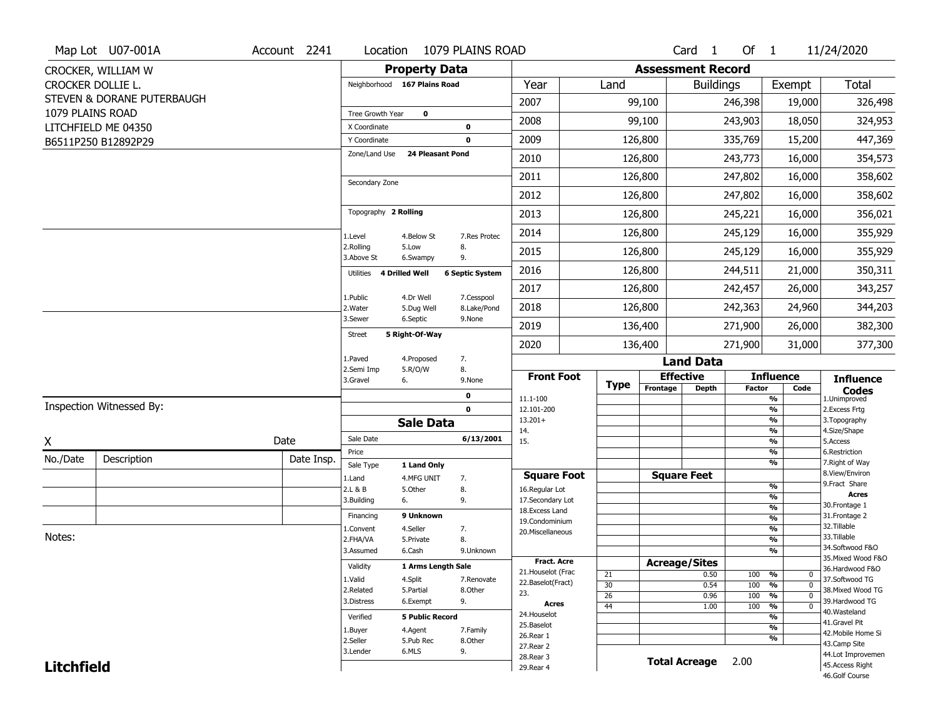|                   | Map Lot U07-001A           | Account 2241 | Location                      |                         | 1079 PLAINS ROAD          |                                         |                       |                          | Card <sub>1</sub>    | Of 1          |                                   | 11/24/2020                            |
|-------------------|----------------------------|--------------|-------------------------------|-------------------------|---------------------------|-----------------------------------------|-----------------------|--------------------------|----------------------|---------------|-----------------------------------|---------------------------------------|
|                   | CROCKER, WILLIAM W         |              |                               | <b>Property Data</b>    |                           |                                         |                       | <b>Assessment Record</b> |                      |               |                                   |                                       |
| CROCKER DOLLIE L. |                            |              | Neighborhood 167 Plains Road  |                         |                           | Year                                    | Land                  |                          | <b>Buildings</b>     |               | Exempt                            | Total                                 |
|                   | STEVEN & DORANE PUTERBAUGH |              |                               |                         |                           | 2007                                    |                       | 99,100                   |                      | 246,398       | 19,000                            | 326,498                               |
| 1079 PLAINS ROAD  |                            |              | Tree Growth Year              | $\mathbf 0$             |                           | 2008                                    |                       | 99,100                   |                      | 243,903       | 18,050                            | 324,953                               |
|                   | LITCHFIELD ME 04350        |              | X Coordinate                  |                         | $\mathbf 0$               |                                         |                       |                          |                      |               |                                   |                                       |
|                   | B6511P250 B12892P29        |              | Y Coordinate<br>Zone/Land Use | 24 Pleasant Pond        | $\mathbf 0$               | 2009                                    |                       | 126,800                  |                      | 335,769       | 15,200                            | 447,369                               |
|                   |                            |              |                               |                         |                           | 2010                                    |                       | 126,800                  |                      | 243,773       | 16,000                            | 354,573                               |
|                   |                            |              | Secondary Zone                |                         |                           | 2011                                    |                       | 126,800                  |                      | 247,802       | 16,000                            | 358,602                               |
|                   |                            |              |                               |                         |                           | 2012                                    |                       | 126,800                  |                      | 247,802       | 16,000                            | 358,602                               |
|                   |                            |              | Topography 2 Rolling          |                         |                           | 2013                                    |                       | 126,800                  |                      | 245,221       | 16,000                            | 356,021                               |
|                   |                            |              | 1.Level                       | 4.Below St              | 7.Res Protec              | 2014                                    |                       | 126,800                  |                      | 245,129       | 16,000                            | 355,929                               |
|                   |                            |              | 2.Rolling<br>3.Above St       | 5.Low<br>6.Swampy       | 8.<br>9.                  | 2015                                    |                       | 126,800                  |                      | 245,129       | 16,000                            | 355,929                               |
|                   |                            |              | Utilities 4 Drilled Well      |                         | <b>6 Septic System</b>    | 2016                                    |                       | 126,800                  |                      | 244,511       | 21,000                            | 350,311                               |
|                   |                            |              |                               |                         |                           | 2017                                    |                       | 126,800                  |                      | 242,457       | 26,000                            | 343,257                               |
|                   |                            |              | 1.Public<br>2. Water          | 4.Dr Well<br>5.Dug Well | 7.Cesspool<br>8.Lake/Pond | 2018                                    |                       | 126,800                  |                      | 242,363       | 24,960                            | 344,203                               |
|                   |                            |              | 3.Sewer                       | 6.Septic                | 9.None                    | 2019                                    |                       | 136,400                  |                      | 271,900       | 26,000                            | 382,300                               |
|                   |                            |              | <b>Street</b>                 | 5 Right-Of-Way          |                           | 2020                                    |                       | 136,400                  |                      | 271,900       | 31,000                            | 377,300                               |
|                   |                            |              | 1.Paved                       | 4.Proposed              | 7.                        |                                         |                       |                          | <b>Land Data</b>     |               |                                   |                                       |
|                   |                            |              | 2.Semi Imp<br>3.Gravel        | 5.R/O/W<br>6.           | 8.<br>9.None              | <b>Front Foot</b>                       |                       | <b>Effective</b>         |                      |               | <b>Influence</b>                  | <b>Influence</b>                      |
|                   |                            |              |                               |                         | $\mathbf 0$               | 11.1-100                                | <b>Type</b>           | Frontage                 | <b>Depth</b>         | <b>Factor</b> | Code<br>$\frac{9}{6}$             | <b>Codes</b><br>1.Unimproved          |
|                   | Inspection Witnessed By:   |              |                               |                         | $\mathbf 0$               | 12.101-200                              |                       |                          |                      |               | $\frac{9}{6}$                     | 2.Excess Frtg                         |
|                   |                            |              |                               | <b>Sale Data</b>        |                           | $13.201+$<br>14.                        |                       |                          |                      |               | $\frac{9}{6}$<br>$\frac{9}{6}$    | 3. Topography<br>4.Size/Shape         |
| X                 |                            | Date         | Sale Date                     |                         | 6/13/2001                 | 15.                                     |                       |                          |                      |               | $\frac{9}{6}$                     | 5.Access                              |
| No./Date          | Description                | Date Insp.   | Price                         |                         |                           |                                         |                       |                          |                      |               | %<br>$\frac{9}{6}$                | 6.Restriction<br>7. Right of Way      |
|                   |                            |              | Sale Type                     | 1 Land Only             |                           | <b>Square Foot</b>                      |                       | <b>Square Feet</b>       |                      |               |                                   | 8.View/Environ                        |
|                   |                            |              | 1.Land<br>2.L & B             | 4.MFG UNIT<br>5.Other   | 7.<br>8.                  | 16.Regular Lot                          |                       |                          |                      |               | %                                 | 9. Fract Share                        |
|                   |                            |              | 3.Building                    | 6.                      | 9.                        | 17.Secondary Lot                        |                       |                          |                      |               | %                                 | <b>Acres</b><br>30. Frontage 1        |
|                   |                            |              | Financing                     | 9 Unknown               |                           | 18.Excess Land                          |                       |                          |                      |               | %<br>%                            | 31. Frontage 2                        |
|                   |                            |              | 1.Convent                     | 4.Seller                | 7.                        | 19.Condominium<br>20.Miscellaneous      |                       |                          |                      |               | %                                 | 32. Tillable                          |
| Notes:            |                            |              | 2.FHA/VA                      | 5.Private               | 8.                        |                                         |                       |                          |                      |               | %                                 | 33.Tillable                           |
|                   |                            |              | 3.Assumed                     | 6.Cash                  | 9.Unknown                 |                                         |                       |                          |                      |               | %                                 | 34.Softwood F&O<br>35. Mixed Wood F&O |
|                   |                            |              | Validity                      | 1 Arms Length Sale      |                           | <b>Fract. Acre</b>                      |                       | <b>Acreage/Sites</b>     |                      |               |                                   | 36.Hardwood F&O                       |
|                   |                            |              | 1.Valid                       | 4.Split                 | 7.Renovate                | 21. Houselot (Frac<br>22.Baselot(Fract) | 21                    |                          | 0.50                 | 100 %         | 0                                 | 37.Softwood TG                        |
|                   |                            |              | 2.Related                     | 5.Partial               | 8.Other                   | 23.                                     | 30<br>$\overline{26}$ |                          | 0.54<br>0.96         | 100<br>100    | %<br>$\mathbf 0$<br>%<br>$\Omega$ | 38. Mixed Wood TG                     |
|                   |                            |              | 3.Distress                    | 6.Exempt                | 9.                        | Acres                                   | 44                    |                          | 1.00                 | 100           | $\frac{9}{6}$<br>$\mathbf 0$      | 39.Hardwood TG                        |
|                   |                            |              | Verified                      | <b>5 Public Record</b>  |                           | 24. Houselot                            |                       |                          |                      |               | %                                 | 40.Wasteland                          |
|                   |                            |              | 1.Buyer                       | 4.Agent                 | 7.Family                  | 25.Baselot                              |                       |                          |                      |               | $\frac{9}{6}$                     | 41.Gravel Pit                         |
|                   |                            |              | 2.Seller                      | 5.Pub Rec               | 8.Other                   | 26.Rear 1                               |                       |                          |                      |               | $\frac{9}{6}$                     | 42. Mobile Home Si<br>43.Camp Site    |
|                   |                            |              | 3.Lender                      | 6.MLS                   | 9.                        | 27. Rear 2                              |                       |                          |                      |               |                                   | 44.Lot Improvemen                     |
| <b>Litchfield</b> |                            |              |                               |                         |                           | 28. Rear 3<br>29. Rear 4                |                       |                          | <b>Total Acreage</b> | 2.00          |                                   | 45.Access Right                       |
|                   |                            |              |                               |                         |                           |                                         |                       |                          |                      |               |                                   | 46.Golf Course                        |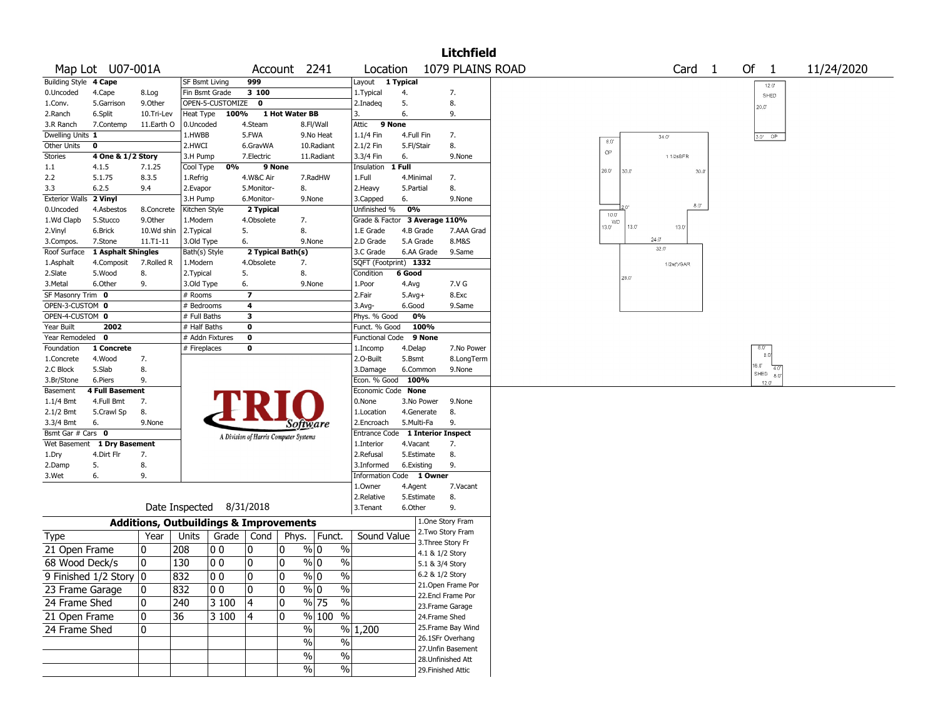|                                    |                             |                                                   |                            |                  |                                       |                |                          |                                  |                  |                                    | <b>Litchfield</b>  |                |       |                |                |               |              |            |  |
|------------------------------------|-----------------------------|---------------------------------------------------|----------------------------|------------------|---------------------------------------|----------------|--------------------------|----------------------------------|------------------|------------------------------------|--------------------|----------------|-------|----------------|----------------|---------------|--------------|------------|--|
|                                    | Map Lot U07-001A            |                                                   |                            |                  |                                       |                | Account 2241             | Location                         |                  |                                    | 1079 PLAINS ROAD   |                |       | Card           | $\overline{1}$ | Of 1          |              | 11/24/2020 |  |
| <b>Building Style</b>              | 4 Cape                      |                                                   | <b>SF Bsmt Living</b>      |                  | 999                                   |                |                          | Layout 1 Typical                 |                  |                                    |                    |                |       |                |                |               | $12.0^\circ$ |            |  |
| 0.Uncoded                          | 4.Cape                      | 8.Log                                             | Fin Bsmt Grade             |                  | 3 100                                 |                |                          | 1. Typical                       | 4.               |                                    | 7.                 |                |       |                |                |               | SHED         |            |  |
| 1.Conv.                            | 5.Garrison                  | 9.0ther                                           |                            | OPEN-5-CUSTOMIZE | 0                                     |                |                          | 2.Inadeg                         | 5.               |                                    | 8.                 |                |       |                |                | 20.0''        |              |            |  |
| 2.Ranch                            | 6.Split                     | 10.Tri-Lev                                        | Heat Type                  | 100%             |                                       | 1 Hot Water BB |                          | 3.                               | 6.               |                                    | 9.                 |                |       |                |                |               |              |            |  |
| 3.R Ranch                          | 7.Contemp                   | 11.Earth O                                        | 0.Uncoded                  |                  | 4.Steam                               |                | 8.Fl/Wall                | Attic                            | 9 None           |                                    |                    |                |       |                |                |               |              |            |  |
| Dwelling Units 1                   |                             |                                                   | 1.HWBB<br>2.HWCI           |                  | 5.FWA                                 |                | 9.No Heat                | 1.1/4 Fin                        | 4.Full Fin       |                                    | 7.<br>8.           | $8.0^\circ$    |       | $34.0^{\circ}$ |                | $3.0'$ OP     |              |            |  |
| Other Units<br><b>Stories</b>      | 0<br>4 One & 1/2 Story      |                                                   | 3.H Pump                   |                  | 6.GravWA<br>7.Electric                |                | 10.Radiant<br>11.Radiant | 2.1/2 Fin<br>3.3/4 Fin           | 5.Fl/Stair<br>6. |                                    | 9.None             | OP             |       | 11/2sBFR       |                |               |              |            |  |
| 1.1                                | 4.1.5                       | 7.1.25                                            | Cool Type                  | 0%               | 9 None                                |                |                          | Insulation                       | 1 Full           |                                    |                    |                |       |                |                |               |              |            |  |
| 2.2                                | 5.1.75                      | 8.3.5                                             | 1.Refrig                   |                  | 4.W&C Air                             |                | 7.RadHW                  | 1.Full                           | 4.Minimal        |                                    | 7.                 | 26.0           | 30.0  | 30.0           |                |               |              |            |  |
| 3.3                                | 6.2.5                       | 9.4                                               | 2.Evapor                   |                  | 5.Monitor-                            |                | 8.                       | 2.Heavy                          | 5.Partial        |                                    | 8.                 |                |       |                |                |               |              |            |  |
| Exterior Walls 2 Vinyl             |                             |                                                   | 3.H Pump                   |                  | 6.Monitor-                            |                | 9.None                   | 3.Capped                         | 6.               |                                    | 9.None             |                |       |                |                |               |              |            |  |
| 0.Uncoded                          | 4.Asbestos                  | 8.Concrete                                        | Kitchen Style              |                  | 2 Typical                             |                |                          | Unfinished %                     | 0%               |                                    |                    | $10.0^{\circ}$ |       | 8.0"           |                |               |              |            |  |
| 1.Wd Clapb                         | 5.Stucco                    | 9.0ther                                           | 1.Modern                   |                  | 4.Obsolete                            |                | 7.                       | Grade & Factor 3 Average 110%    |                  |                                    |                    | <b>WD</b>      |       |                |                |               |              |            |  |
| 2.Vinyl                            | 6.Brick                     | 10.Wd shin                                        | 2.Typical                  |                  | 5.                                    |                | 8.                       | 1.E Grade                        | 4.B Grade        |                                    | 7.AAA Grad         | 13.0'          | 13.0' | 13.0           |                |               |              |            |  |
| 3.Compos.                          | 7.Stone                     | $11. T1 - 11$                                     | 3.Old Type                 |                  | 6.                                    |                | 9.None                   | 2.D Grade                        | 5.A Grade        |                                    | 8.M&S              |                | 24.0" | 32.0'          |                |               |              |            |  |
| Roof Surface                       | 1 Asphalt Shingles          |                                                   | Bath(s) Style              |                  | 2 Typical Bath(s)                     |                |                          | 3.C Grade                        |                  | 6.AA Grade                         | 9.Same             |                |       |                |                |               |              |            |  |
| 1.Asphalt                          | 4.Composit                  | 7.Rolled R                                        | 1.Modern                   |                  | 4.Obsolete                            |                | 7.                       | SQFT (Footprint) 1332            |                  |                                    |                    |                |       | 1/2s(f)/GAR    |                |               |              |            |  |
| 2.Slate                            | 5.Wood                      | 8.                                                | 2. Typical                 |                  | 5.                                    |                | 8.                       | Condition                        | 6 Good           |                                    |                    |                | 26.0  |                |                |               |              |            |  |
| 3.Metal                            | 6.Other                     | 9.                                                | 3.Old Type                 |                  | 6.                                    |                | 9.None                   | 1.Poor                           | 4.Avg            |                                    | 7.V G              |                |       |                |                |               |              |            |  |
| SF Masonry Trim 0                  |                             |                                                   | # Rooms                    |                  | $\overline{\mathbf{z}}$               |                |                          | 2.Fair                           | $5.Avg+$         |                                    | 8.Exc              |                |       |                |                |               |              |            |  |
| OPEN-3-CUSTOM 0<br>OPEN-4-CUSTOM 0 |                             |                                                   | # Bedrooms<br># Full Baths |                  | 4<br>3                                |                |                          | 3.Avg-<br>Phys. % Good           | 6.Good           | 0%                                 | 9.Same             |                |       |                |                |               |              |            |  |
| Year Built                         | 2002                        |                                                   | # Half Baths               |                  | 0                                     |                |                          | Funct. % Good                    |                  | 100%                               |                    |                |       |                |                |               |              |            |  |
| Year Remodeled 0                   |                             |                                                   | # Addn Fixtures            |                  | 0                                     |                |                          | <b>Functional Code</b>           |                  | 9 None                             |                    |                |       |                |                |               |              |            |  |
| Foundation                         | 1 Concrete                  |                                                   | # Fireplaces               |                  | 0                                     |                |                          | 1.Incomp                         | 4.Delap          |                                    | 7.No Power         |                |       |                |                | $8.0^{\circ}$ |              |            |  |
| 1.Concrete                         | 4.Wood                      | 7.                                                |                            |                  |                                       |                |                          | 2.O-Built                        | 5.Bsmt           |                                    | 8.LongTerm         |                |       |                |                | 8.0           |              |            |  |
| 2.C Block                          | 5.Slab                      | 8.                                                |                            |                  |                                       |                |                          | 3.Damage                         | 6.Common         |                                    | 9.None             |                |       |                |                | 16.0<br>SHED  |              |            |  |
| 3.Br/Stone                         | 6.Piers                     | 9.                                                |                            |                  |                                       |                |                          | Econ. % Good                     | 100%             |                                    |                    |                |       |                |                | 12.0'         | 8.0          |            |  |
| Basement                           | <b>4 Full Basement</b>      |                                                   |                            |                  |                                       |                |                          | Economic Code None               |                  |                                    |                    |                |       |                |                |               |              |            |  |
| $1.1/4$ Bmt                        | 4.Full Bmt                  | 7.                                                |                            |                  |                                       |                |                          | 0.None                           |                  | 3.No Power                         | 9.None             |                |       |                |                |               |              |            |  |
| 2.1/2 Bmt                          | 5.Crawl Sp                  | 8.                                                |                            |                  |                                       |                |                          | 1.Location                       |                  | 4.Generate                         | 8.                 |                |       |                |                |               |              |            |  |
| 3.3/4 Bmt                          | 6.                          | 9.None                                            |                            |                  |                                       |                | Software                 | 2.Encroach                       | 5.Multi-Fa       |                                    | 9.                 |                |       |                |                |               |              |            |  |
| Bsmt Gar # Cars 0                  |                             |                                                   |                            |                  | A Division of Harris Computer Systems |                |                          | Entrance Code 1 Interior Inspect |                  |                                    |                    |                |       |                |                |               |              |            |  |
|                                    | Wet Basement 1 Dry Basement |                                                   |                            |                  |                                       |                |                          | 1.Interior                       | 4.Vacant         |                                    | 7.                 |                |       |                |                |               |              |            |  |
| 1.Dry<br>2.Damp                    | 4.Dirt Flr<br>5.            | 7.<br>8.                                          |                            |                  |                                       |                |                          | 2.Refusal<br>3.Informed          | 6.Existing       | 5.Estimate                         | 8.<br>9.           |                |       |                |                |               |              |            |  |
| 3.Wet                              | 6.                          | 9.                                                |                            |                  |                                       |                |                          | Information Code 1 Owner         |                  |                                    |                    |                |       |                |                |               |              |            |  |
|                                    |                             |                                                   |                            |                  |                                       |                |                          | 1.Owner                          | 4.Agent          |                                    | 7.Vacant           |                |       |                |                |               |              |            |  |
|                                    |                             |                                                   |                            |                  |                                       |                |                          | 2.Relative                       |                  | 5.Estimate                         | 8.                 |                |       |                |                |               |              |            |  |
|                                    |                             |                                                   | Date Inspected 8/31/2018   |                  |                                       |                |                          | 3.Tenant                         | 6.Other          |                                    | 9.                 |                |       |                |                |               |              |            |  |
|                                    |                             | <b>Additions, Outbuildings &amp; Improvements</b> |                            |                  |                                       |                |                          |                                  |                  |                                    | 1.One Story Fram   |                |       |                |                |               |              |            |  |
| <b>Type</b>                        |                             | Year                                              | Units                      | Grade   Cond     |                                       | Phys.          | Funct.                   | Sound Value                      |                  |                                    | 2. Two Story Fram  |                |       |                |                |               |              |            |  |
| 21 Open Frame                      |                             | 10                                                | 208                        | O O              | 10                                    | 0              | % 0<br>$\%$              |                                  |                  |                                    | 3. Three Story Fr  |                |       |                |                |               |              |            |  |
| 68 Wood Deck/s                     |                             | 10                                                | 130                        | O O              | 10                                    | 0              | % 0<br>$\%$              |                                  |                  | 4.1 & 1/2 Story<br>5.1 & 3/4 Story |                    |                |       |                |                |               |              |            |  |
|                                    |                             |                                                   |                            |                  |                                       |                |                          |                                  |                  | 6.2 & 1/2 Story                    |                    |                |       |                |                |               |              |            |  |
|                                    | 9 Finished 1/2 Story 0      |                                                   | 832                        | 00               | 0                                     | 0              | $\%$ 0<br>$\%$           |                                  |                  |                                    | 21. Open Frame Por |                |       |                |                |               |              |            |  |
| 23 Frame Garage                    |                             | 10                                                | 832                        | 00               | 0                                     | 10             | $\%$<br>% 0              |                                  |                  |                                    | 22.Encl Frame Por  |                |       |                |                |               |              |            |  |
| 24 Frame Shed                      |                             | 0                                                 | 240                        | 3 100            | 4                                     | 0              | % 75<br>%                |                                  |                  |                                    | 23. Frame Garage   |                |       |                |                |               |              |            |  |
| 21 Open Frame                      |                             | 0                                                 | 36                         | 3 100            | 14                                    | 10             | % 100 %                  |                                  |                  | 24.Frame Shed                      |                    |                |       |                |                |               |              |            |  |
| 24 Frame Shed                      |                             | 10                                                |                            |                  |                                       |                | $\frac{0}{0}$<br>$\%$    | 1,200                            |                  |                                    | 25. Frame Bay Wind |                |       |                |                |               |              |            |  |
|                                    |                             |                                                   |                            |                  |                                       |                | $\frac{0}{0}$<br>$\%$    |                                  |                  |                                    | 26.1SFr Overhang   |                |       |                |                |               |              |            |  |
|                                    |                             |                                                   |                            |                  |                                       |                | $\%$<br>$\%$             |                                  |                  |                                    | 27. Unfin Basement |                |       |                |                |               |              |            |  |
|                                    |                             |                                                   |                            |                  |                                       |                |                          |                                  |                  |                                    | 28. Unfinished Att |                |       |                |                |               |              |            |  |
|                                    |                             |                                                   |                            |                  |                                       |                | $\frac{0}{0}$<br>$\%$    |                                  |                  |                                    | 29. Finished Attic |                |       |                |                |               |              |            |  |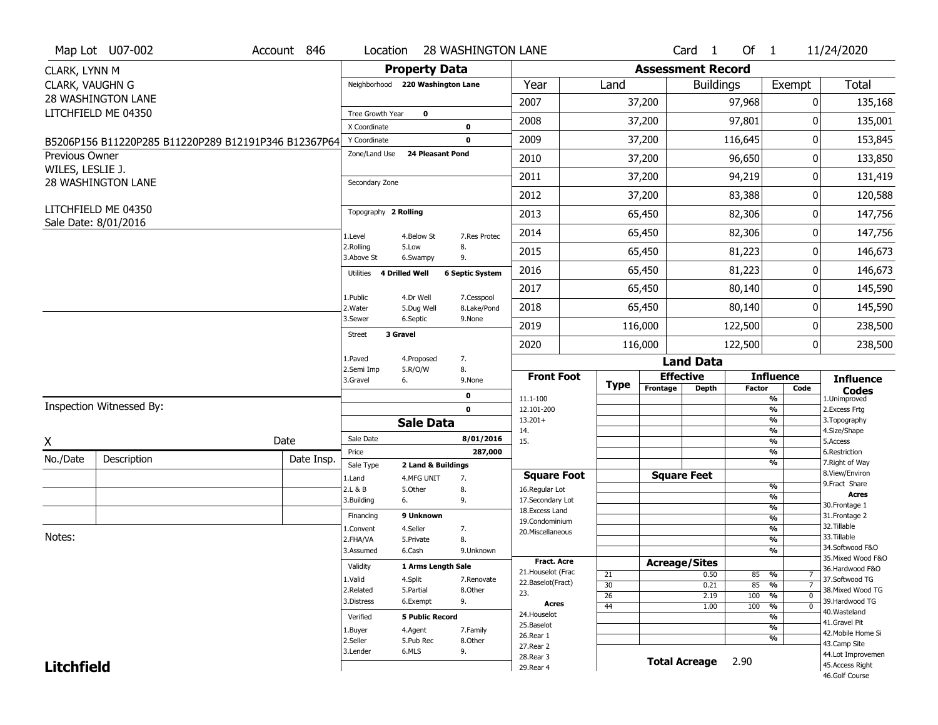|                   | Map Lot U07-002                                      | Account 846 | Location                      |                                  | <b>28 WASHINGTON LANE</b>  |                                      |                 |          | Card <sub>1</sub>        | Of $1$        |                                      | 11/24/2020                           |
|-------------------|------------------------------------------------------|-------------|-------------------------------|----------------------------------|----------------------------|--------------------------------------|-----------------|----------|--------------------------|---------------|--------------------------------------|--------------------------------------|
| CLARK, LYNN M     |                                                      |             |                               | <b>Property Data</b>             |                            |                                      |                 |          | <b>Assessment Record</b> |               |                                      |                                      |
| CLARK, VAUGHN G   |                                                      |             |                               | Neighborhood 220 Washington Lane |                            | Year                                 | Land            |          | <b>Buildings</b>         |               | Exempt                               | <b>Total</b>                         |
|                   | <b>28 WASHINGTON LANE</b>                            |             |                               |                                  |                            | 2007                                 |                 | 37,200   |                          | 97,968        | 0                                    | 135,168                              |
|                   | LITCHFIELD ME 04350                                  |             | Tree Growth Year              | $\mathbf 0$                      |                            | 2008                                 |                 | 37,200   |                          | 97,801        | 0                                    | 135,001                              |
|                   |                                                      |             | X Coordinate                  |                                  | $\mathbf 0$<br>$\mathbf 0$ | 2009                                 |                 |          |                          | 116,645       | 0                                    | 153,845                              |
| Previous Owner    | B5206P156 B11220P285 B11220P289 B12191P346 B12367P64 |             | Y Coordinate<br>Zone/Land Use | <b>24 Pleasant Pond</b>          |                            |                                      |                 | 37,200   |                          |               |                                      |                                      |
| WILES, LESLIE J.  |                                                      |             |                               |                                  |                            | 2010                                 |                 | 37,200   |                          | 96,650        | 0                                    | 133,850                              |
|                   | <b>28 WASHINGTON LANE</b>                            |             | Secondary Zone                |                                  |                            | 2011                                 |                 | 37,200   |                          | 94,219        | 0                                    | 131,419                              |
|                   |                                                      |             |                               |                                  |                            | 2012                                 |                 | 37,200   |                          | 83,388        | 0                                    | 120,588                              |
|                   | LITCHFIELD ME 04350<br>Sale Date: 8/01/2016          |             | Topography 2 Rolling          |                                  |                            | 2013                                 |                 | 65,450   |                          | 82,306        | 0                                    | 147,756                              |
|                   |                                                      |             | 1.Level                       | 4.Below St                       | 7.Res Protec               | 2014                                 |                 | 65,450   |                          | 82,306        | 0                                    | 147,756                              |
|                   |                                                      |             | 2.Rolling<br>3.Above St       | 5.Low<br>6.Swampy                | 8.<br>9.                   | 2015                                 |                 | 65,450   |                          | 81,223        | 0                                    | 146,673                              |
|                   |                                                      |             | <b>Utilities</b>              | <b>4 Drilled Well</b>            | <b>6 Septic System</b>     | 2016                                 |                 | 65,450   |                          | 81,223        | 0                                    | 146,673                              |
|                   |                                                      |             | 1.Public                      | 4.Dr Well                        | 7.Cesspool                 | 2017                                 |                 | 65,450   |                          | 80,140        | 0                                    | 145,590                              |
|                   |                                                      |             | 2. Water                      | 5.Dug Well                       | 8.Lake/Pond                | 2018                                 |                 | 65,450   |                          | 80,140        | 0                                    | 145,590                              |
|                   |                                                      |             | 3.Sewer                       | 6.Septic                         | 9.None                     | 2019                                 |                 | 116,000  |                          | 122,500       | 0                                    | 238,500                              |
|                   |                                                      |             | 3 Gravel<br><b>Street</b>     |                                  |                            | 2020                                 |                 | 116,000  |                          | 122,500       | 0                                    | 238,500                              |
|                   |                                                      |             | 1.Paved                       | 4.Proposed                       | 7.                         |                                      |                 |          | <b>Land Data</b>         |               |                                      |                                      |
|                   |                                                      |             | 2.Semi Imp<br>3.Gravel        | 5.R/O/W<br>6.                    | 8.<br>9.None               | <b>Front Foot</b>                    |                 |          | <b>Effective</b>         |               | <b>Influence</b>                     | <b>Influence</b>                     |
|                   |                                                      |             |                               |                                  |                            |                                      |                 |          |                          |               |                                      |                                      |
|                   |                                                      |             |                               |                                  | 0                          |                                      | <b>Type</b>     | Frontage | <b>Depth</b>             | <b>Factor</b> | Code                                 | <b>Codes</b>                         |
|                   | Inspection Witnessed By:                             |             |                               |                                  | $\mathbf 0$                | $11.1 - 100$<br>12.101-200           |                 |          |                          |               | $\frac{9}{6}$<br>$\frac{9}{6}$       | 1.Unimproved<br>2. Excess Frtg       |
|                   |                                                      |             |                               | <b>Sale Data</b>                 |                            | $13.201+$                            |                 |          |                          |               | $\frac{9}{6}$                        | 3. Topography                        |
| χ                 |                                                      | Date        | Sale Date                     |                                  | 8/01/2016                  | 14.<br>15.                           |                 |          |                          |               | $\frac{9}{6}$<br>$\frac{9}{6}$       | 4.Size/Shape<br>5.Access             |
|                   |                                                      |             | Price                         |                                  | 287,000                    |                                      |                 |          |                          |               | $\frac{9}{6}$                        | 6.Restriction                        |
| No./Date          | Description                                          | Date Insp.  | Sale Type                     | 2 Land & Buildings               |                            |                                      |                 |          |                          |               | $\frac{9}{6}$                        | 7. Right of Way<br>8.View/Environ    |
|                   |                                                      |             | 1.Land<br>2.L & B             | 4.MFG UNIT<br>5.Other            | 7.<br>8.                   | <b>Square Foot</b><br>16.Regular Lot |                 |          | <b>Square Feet</b>       |               | $\frac{9}{6}$                        | 9. Fract Share                       |
|                   |                                                      |             | 3.Building                    | 6.                               | 9.                         | 17.Secondary Lot                     |                 |          |                          |               | $\frac{9}{6}$                        | <b>Acres</b>                         |
|                   |                                                      |             | Financing                     | 9 Unknown                        |                            | 18.Excess Land                       |                 |          |                          |               | $\frac{9}{6}$                        | 30. Frontage 1<br>31. Frontage 2     |
|                   |                                                      |             | 1.Convent                     | 4.Seller                         | 7.                         | 19. Condominium                      |                 |          |                          |               | $\frac{9}{6}$<br>$\frac{9}{6}$       | 32. Tillable                         |
| Notes:            |                                                      |             | 2.FHA/VA                      | 5.Private                        | 8.                         | 20. Miscellaneous                    |                 |          |                          |               | $\frac{9}{6}$                        | 33.Tillable                          |
|                   |                                                      |             | 3.Assumed                     | 6.Cash                           | 9.Unknown                  |                                      |                 |          |                          |               | $\overline{\frac{9}{6}}$             | 34.Softwood F&O                      |
|                   |                                                      |             | Validity                      | 1 Arms Length Sale               |                            | <b>Fract. Acre</b>                   |                 |          | <b>Acreage/Sites</b>     |               |                                      | 35. Mixed Wood F&O                   |
|                   |                                                      |             | 1.Valid                       |                                  | 7.Renovate                 | 21. Houselot (Frac                   | 21              |          | 0.50                     | 85            | %<br>7                               | 36.Hardwood F&O                      |
|                   |                                                      |             | 2.Related                     | 4.Split<br>5.Partial             | 8.Other                    | 22.Baselot(Fract)                    | 30              |          | 0.21                     | 85            | $\overline{7}$<br>%                  | 37.Softwood TG<br>38. Mixed Wood TG  |
|                   |                                                      |             | 3.Distress                    | 6.Exempt                         | 9.                         | 23.<br>Acres                         | 26              |          | 2.19                     | 100           | $\frac{9}{6}$<br>$\mathbf 0$         | 39.Hardwood TG                       |
|                   |                                                      |             | Verified                      | <b>5 Public Record</b>           |                            | 24. Houselot                         | $\overline{44}$ |          | 1.00                     | 100           | $\frac{9}{6}$<br>$\overline{0}$<br>% | 40.Wasteland                         |
|                   |                                                      |             |                               |                                  |                            | 25.Baselot                           |                 |          |                          |               | $\frac{9}{6}$                        | 41.Gravel Pit                        |
|                   |                                                      |             | 1.Buyer<br>2.Seller           | 4.Agent<br>5.Pub Rec             | 7.Family<br>8.Other        | 26.Rear 1                            |                 |          |                          |               | %                                    | 42. Mobile Home Si                   |
|                   |                                                      |             | 3.Lender                      | 6.MLS                            | 9.                         | 27. Rear 2                           |                 |          |                          |               |                                      | 43.Camp Site                         |
| <b>Litchfield</b> |                                                      |             |                               |                                  |                            | 28. Rear 3<br>29. Rear 4             |                 |          | <b>Total Acreage</b>     | 2.90          |                                      | 44.Lot Improvemen<br>45.Access Right |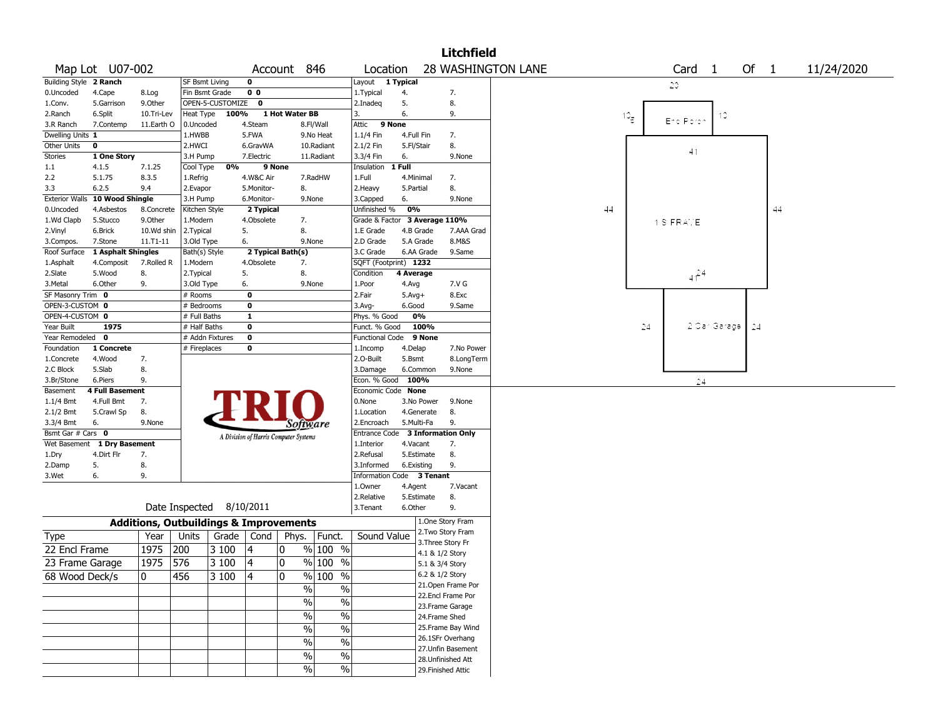|                        |                                |                                                   |                          |                  |                |                                       |               |                               |            |                 | <b>Litchfield</b>         |                           |    |              |                   |              |       |    |            |
|------------------------|--------------------------------|---------------------------------------------------|--------------------------|------------------|----------------|---------------------------------------|---------------|-------------------------------|------------|-----------------|---------------------------|---------------------------|----|--------------|-------------------|--------------|-------|----|------------|
|                        | Map Lot U07-002                |                                                   |                          |                  |                | Account 846                           |               | Location                      |            |                 |                           | <b>28 WASHINGTON LANE</b> |    |              | Card <sub>1</sub> |              | Of 1  |    | 11/24/2020 |
| Building Style 2 Ranch |                                |                                                   | <b>SF Bsmt Living</b>    |                  | $\mathbf 0$    |                                       |               | Layout 1 Typical              |            |                 |                           |                           |    |              | 20.               |              |       |    |            |
| 0.Uncoded              | 4.Cape                         | 8.Log                                             | Fin Bsmt Grade           |                  | 0 <sub>0</sub> |                                       |               | 1.Typical                     | 4.         |                 | 7.                        |                           |    |              |                   |              |       |    |            |
| 1.Conv.                | 5.Garrison                     | 9.Other                                           |                          | OPEN-5-CUSTOMIZE | $\mathbf 0$    |                                       |               | 2.Inadeg                      | 5.         |                 | 8.                        |                           |    |              |                   |              |       |    |            |
| 2.Ranch                | 6.Split                        | 10.Tri-Lev                                        | Heat Type                | 100%             |                | 1 Hot Water BB                        |               | 3.                            | 6.         |                 | 9.                        |                           |    | $10_{\rm g}$ |                   | 10           |       |    |            |
| 3.R Ranch              | 7.Contemp                      | 11.Earth O                                        | 0.Uncoded                |                  | 4.Steam        |                                       | 8.Fl/Wall     | Attic                         | 9 None     |                 |                           |                           |    |              | End Porch         |              |       |    |            |
| Dwelling Units 1       |                                |                                                   | 1.HWBB                   |                  | 5.FWA          |                                       | 9.No Heat     | 1.1/4 Fin                     | 4.Full Fin |                 | 7.                        |                           |    |              |                   |              |       |    |            |
| Other Units            | 0                              |                                                   | 2.HWCI                   |                  | 6.GravWA       |                                       | 10.Radiant    | 2.1/2 Fin                     | 5.Fl/Stair |                 | 8.                        |                           |    |              | 41                |              |       |    |            |
| Stories                | 1 One Story                    |                                                   | 3.H Pump                 |                  | 7.Electric     |                                       | 11.Radiant    | 3.3/4 Fin                     | 6.         |                 | 9.None                    |                           |    |              |                   |              |       |    |            |
| 1.1                    | 4.1.5                          | 7.1.25                                            | Cool Type                | 0%               |                | 9 None                                |               | Insulation                    | 1 Full     |                 |                           |                           |    |              |                   |              |       |    |            |
| 2.2                    | 5.1.75                         | 8.3.5                                             | 1.Refrig                 |                  | 4.W&C Air      |                                       | 7.RadHW       | 1.Full                        | 4.Minimal  |                 | 7.                        |                           |    |              |                   |              |       |    |            |
| 3.3                    | 6.2.5                          | 9.4                                               | 2.Evapor                 |                  | 5.Monitor-     | 8.                                    |               | 2.Heavy                       | 5.Partial  |                 | 8.                        |                           |    |              |                   |              |       |    |            |
|                        | Exterior Walls 10 Wood Shingle |                                                   | 3.H Pump                 |                  | 6.Monitor-     | 9.None                                |               | 3.Capped                      | 6.         |                 | 9.None                    |                           |    |              |                   |              |       |    |            |
| 0.Uncoded              | 4.Asbestos                     | 8.Concrete                                        | Kitchen Style            |                  | 2 Typical      |                                       |               | Unfinished %                  | 0%         |                 |                           |                           | 44 |              |                   |              |       | 44 |            |
| 1.Wd Clapb             | 5.Stucco                       | 9.Other                                           | 1.Modern                 |                  | 4.Obsolete     | 7.                                    |               | Grade & Factor 3 Average 110% |            |                 |                           |                           |    |              | 1 S FRATE         |              |       |    |            |
| 2.Vinyl                | 6.Brick                        | 10.Wd shin                                        | 2. Typical               |                  | 5.             | 8.                                    |               | 1.E Grade                     | 4.B Grade  |                 | 7.AAA Grad                |                           |    |              |                   |              |       |    |            |
| 3.Compos.              | 7.Stone                        | $11. T1 - 11$                                     | 3.Old Type               |                  | 6.             | 9.None                                |               | 2.D Grade                     | 5.A Grade  |                 | 8.M&S                     |                           |    |              |                   |              |       |    |            |
| Roof Surface           | 1 Asphalt Shingles             |                                                   | Bath(s) Style            |                  |                | 2 Typical Bath(s)                     |               | 3.C Grade                     | 6.AA Grade |                 | 9.Same                    |                           |    |              |                   |              |       |    |            |
| 1.Asphalt              | 4.Composit                     | 7.Rolled R                                        | 1.Modern                 |                  | 4.Obsolete     | 7.                                    |               | SQFT (Footprint) 1232         |            |                 |                           |                           |    |              |                   |              |       |    |            |
| 2.Slate                | 5.Wood                         | 8.                                                | 2. Typical               |                  | 5.             | 8.                                    |               | Condition                     | 4 Average  |                 |                           |                           |    |              | $4f^{24}$         |              |       |    |            |
| 3.Metal                | 6.Other                        | 9.                                                | 3.Old Type               |                  | 6.             | 9.None                                |               | 1.Poor                        | 4.Avg      |                 | 7.V G                     |                           |    |              |                   |              |       |    |            |
| SF Masonry Trim 0      |                                |                                                   | $#$ Rooms                |                  | $\bf{0}$       |                                       |               | 2.Fair                        | $5.Avg+$   |                 | 8.Exc                     |                           |    |              |                   |              |       |    |            |
| OPEN-3-CUSTOM 0        |                                |                                                   | # Bedrooms               |                  | $\bf{0}$       |                                       |               | 3.Avg-                        | 6.Good     |                 | 9.Same                    |                           |    |              |                   |              |       |    |            |
| OPEN-4-CUSTOM 0        |                                |                                                   | # Full Baths             |                  | 1              |                                       |               | Phys. % Good                  | 0%         |                 |                           |                           |    |              |                   |              |       |    |            |
| Year Built             | 1975                           |                                                   | # Half Baths             |                  | $\bf{0}$       |                                       |               | Funct. % Good                 |            | 100%            |                           |                           |    | 24           |                   | 2 Car Garage | $-24$ |    |            |
| Year Remodeled 0       |                                |                                                   |                          | # Addn Fixtures  | $\bf o$        |                                       |               | <b>Functional Code</b>        |            | 9 None          |                           |                           |    |              |                   |              |       |    |            |
| Foundation             | 1 Concrete                     |                                                   | # Fireplaces             |                  | $\mathbf 0$    |                                       |               | 1.Incomp                      | 4.Delap    |                 | 7.No Power                |                           |    |              |                   |              |       |    |            |
| 1.Concrete             | 4.Wood                         | 7.                                                |                          |                  |                |                                       |               | 2.0-Built                     | 5.Bsmt     |                 | 8.LongTerm                |                           |    |              |                   |              |       |    |            |
| 2.C Block              | 5.Slab                         | 8.                                                |                          |                  |                |                                       |               | 3.Damage                      | 6.Common   |                 | 9.None                    |                           |    |              |                   |              |       |    |            |
| 3.Br/Stone             | 6.Piers                        | 9.                                                |                          |                  |                |                                       |               | Econ. % Good 100%             |            |                 |                           |                           |    |              | 24                |              |       |    |            |
| Basement               | 4 Full Basement                |                                                   |                          |                  |                |                                       |               | Economic Code None            |            |                 |                           |                           |    |              |                   |              |       |    |            |
| $1.1/4$ Bmt            | 4.Full Bmt                     | 7.                                                |                          |                  |                |                                       |               | 0.None                        | 3.No Power |                 | 9.None                    |                           |    |              |                   |              |       |    |            |
| 2.1/2 Bmt              | 5.Crawl Sp                     | 8.                                                |                          |                  |                |                                       |               | 1.Location                    | 4.Generate |                 | 8.                        |                           |    |              |                   |              |       |    |            |
| 3.3/4 Bmt              | 6.                             | 9.None                                            |                          |                  |                | Software                              |               | 2.Encroach                    | 5.Multi-Fa |                 | 9.                        |                           |    |              |                   |              |       |    |            |
| Bsmt Gar # Cars 0      |                                |                                                   |                          |                  |                | A Division of Harris Computer Systems |               | <b>Entrance Code</b>          |            |                 | <b>3 Information Only</b> |                           |    |              |                   |              |       |    |            |
|                        | Wet Basement 1 Dry Basement    |                                                   |                          |                  |                |                                       |               | 1.Interior                    | 4.Vacant   |                 | 7.                        |                           |    |              |                   |              |       |    |            |
| 1.Dry                  | 4.Dirt Flr                     | 7.                                                |                          |                  |                |                                       |               | 2.Refusal                     | 5.Estimate |                 | 8.                        |                           |    |              |                   |              |       |    |            |
| 2.Damp                 | 5.                             | 8.                                                |                          |                  |                |                                       |               | 3.Informed                    | 6.Existing |                 | 9.                        |                           |    |              |                   |              |       |    |            |
| 3.Wet                  | 6.                             | 9.                                                |                          |                  |                |                                       |               | Information Code 3 Tenant     |            |                 |                           |                           |    |              |                   |              |       |    |            |
|                        |                                |                                                   |                          |                  |                |                                       |               | 1.Owner                       | 4.Agent    |                 | 7.Vacant                  |                           |    |              |                   |              |       |    |            |
|                        |                                |                                                   |                          |                  |                |                                       |               | 2.Relative                    | 5.Estimate |                 | 8.                        |                           |    |              |                   |              |       |    |            |
|                        |                                |                                                   | Date Inspected 8/10/2011 |                  |                |                                       |               | 3.Tenant                      | 6.Other    |                 | 9.                        |                           |    |              |                   |              |       |    |            |
|                        |                                | <b>Additions, Outbuildings &amp; Improvements</b> |                          |                  |                |                                       |               |                               |            |                 | 1.One Story Fram          |                           |    |              |                   |              |       |    |            |
| Type                   |                                | Year                                              | Units                    | Grade   Cond     |                | Phys.                                 | Funct.        | Sound Value                   |            |                 | 2. Two Story Fram         |                           |    |              |                   |              |       |    |            |
| 22 Encl Frame          |                                | 1975                                              | 200                      | 3 100            | 4              | 0                                     | % 100 %       |                               |            |                 | 3. Three Story Fr         |                           |    |              |                   |              |       |    |            |
|                        |                                | 1975                                              | 576                      | 3100             | 4              | 0                                     | % 100 %       |                               |            | 4.1 & 1/2 Story |                           |                           |    |              |                   |              |       |    |            |
| 23 Frame Garage        |                                |                                                   |                          |                  |                |                                       |               |                               |            | 5.1 & 3/4 Story |                           |                           |    |              |                   |              |       |    |            |
| 68 Wood Deck/s         |                                | 0                                                 | 456                      | $ 3100\rangle$   | 14             | 0                                     | % 100 %       |                               |            | 6.2 & 1/2 Story |                           |                           |    |              |                   |              |       |    |            |
|                        |                                |                                                   |                          |                  |                | $\%$                                  | $\frac{0}{0}$ |                               |            |                 | 21. Open Frame Por        |                           |    |              |                   |              |       |    |            |
|                        |                                |                                                   |                          |                  |                | $\sqrt{6}$                            | $\%$          |                               |            |                 | 22.Encl Frame Por         |                           |    |              |                   |              |       |    |            |
|                        |                                |                                                   |                          |                  |                | $\sqrt{0}$                            | $\frac{0}{6}$ |                               |            |                 | 23. Frame Garage          |                           |    |              |                   |              |       |    |            |
|                        |                                |                                                   |                          |                  |                |                                       |               |                               |            | 24.Frame Shed   |                           |                           |    |              |                   |              |       |    |            |
|                        |                                |                                                   |                          |                  |                | $\sqrt{6}$                            | $\frac{0}{6}$ |                               |            |                 | 25. Frame Bay Wind        |                           |    |              |                   |              |       |    |            |
|                        |                                |                                                   |                          |                  |                | $\sqrt{6}$                            | %             |                               |            |                 | 26.1SFr Overhang          |                           |    |              |                   |              |       |    |            |
|                        |                                |                                                   |                          |                  |                | $\%$                                  | $\%$          |                               |            |                 | 27. Unfin Basement        |                           |    |              |                   |              |       |    |            |
|                        |                                |                                                   |                          |                  |                |                                       |               |                               |            |                 | 28. Unfinished Att        |                           |    |              |                   |              |       |    |            |
|                        |                                |                                                   |                          |                  |                | $\sqrt{0}$                            | $\%$          |                               |            |                 | 29. Finished Attic        |                           |    |              |                   |              |       |    |            |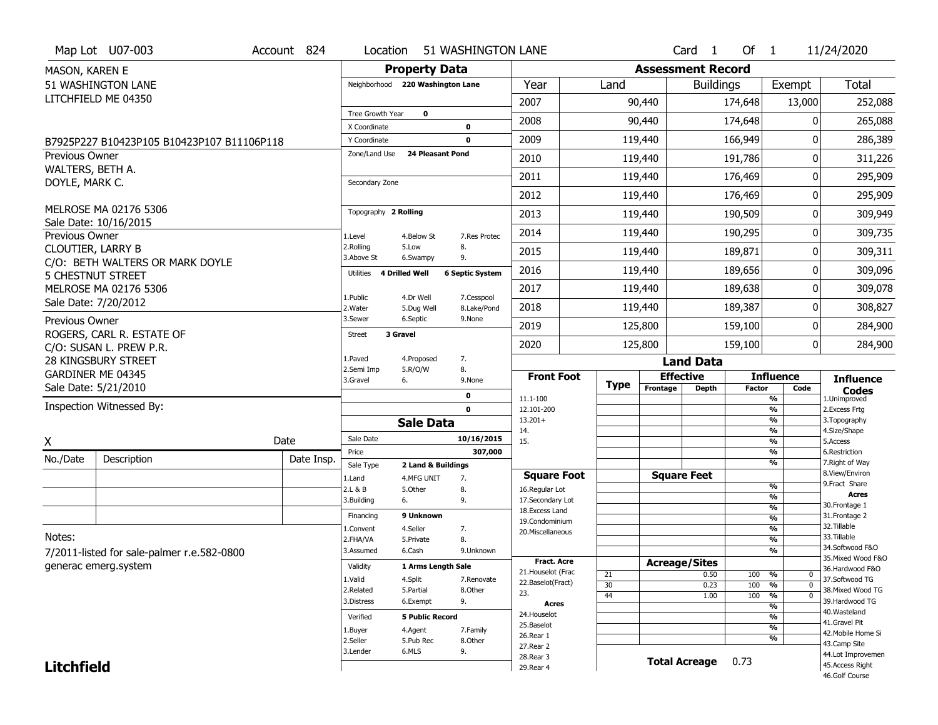| Map Lot U07-003<br>Account 824                                      | Location                     |                                  | 51 WASHINGTON LANE        |                                   |             |                          | Card <sub>1</sub>    | Of $1$        |                                                      | 11/24/2020                           |
|---------------------------------------------------------------------|------------------------------|----------------------------------|---------------------------|-----------------------------------|-------------|--------------------------|----------------------|---------------|------------------------------------------------------|--------------------------------------|
| MASON, KAREN E                                                      |                              | <b>Property Data</b>             |                           |                                   |             | <b>Assessment Record</b> |                      |               |                                                      |                                      |
| 51 WASHINGTON LANE                                                  |                              | Neighborhood 220 Washington Lane |                           | Year                              | Land        |                          | <b>Buildings</b>     |               | Exempt                                               | Total                                |
| LITCHFIELD ME 04350                                                 |                              |                                  |                           | 2007                              |             | 90,440                   |                      | 174,648       | 13,000                                               | 252,088                              |
|                                                                     | Tree Growth Year             | $\mathbf 0$                      |                           | 2008                              |             | 90,440                   |                      | 174,648       |                                                      | 265,088                              |
|                                                                     | X Coordinate<br>Y Coordinate |                                  | $\mathbf 0$<br>0          | 2009                              |             | 119,440                  |                      | 166,949       | O                                                    | 286,389                              |
| B7925P227 B10423P105 B10423P107 B11106P118<br><b>Previous Owner</b> | Zone/Land Use                | <b>24 Pleasant Pond</b>          |                           |                                   |             |                          |                      |               | O                                                    |                                      |
| WALTERS, BETH A.                                                    |                              |                                  |                           | 2010                              |             | 119,440                  |                      | 191,786       |                                                      | 311,226                              |
| DOYLE, MARK C.                                                      | Secondary Zone               |                                  |                           | 2011                              |             | 119,440                  |                      | 176,469       | 0                                                    | 295,909                              |
|                                                                     |                              |                                  |                           | 2012                              |             | 119,440                  |                      | 176,469       | 0                                                    | 295,909                              |
| MELROSE MA 02176 5306<br>Sale Date: 10/16/2015                      | Topography 2 Rolling         |                                  |                           | 2013                              |             | 119,440                  |                      | 190,509       | O                                                    | 309,949                              |
| Previous Owner                                                      | 1.Level                      | 4.Below St                       | 7.Res Protec              | 2014                              |             | 119,440                  |                      | 190,295       | 0                                                    | 309,735                              |
| CLOUTIER, LARRY B                                                   | 2.Rolling<br>3.Above St      | 5.Low<br>6.Swampy                | 8.<br>9.                  | 2015                              |             | 119,440                  |                      | 189,871       | O                                                    | 309,311                              |
| C/O: BETH WALTERS OR MARK DOYLE<br><b>5 CHESTNUT STREET</b>         | Utilities                    | 4 Drilled Well                   | <b>6 Septic System</b>    | 2016                              |             | 119,440                  |                      | 189,656       | O                                                    | 309,096                              |
| MELROSE MA 02176 5306                                               |                              |                                  |                           | 2017                              |             | 119,440                  |                      | 189,638       | 0                                                    | 309,078                              |
| Sale Date: 7/20/2012                                                | 1.Public<br>2. Water         | 4.Dr Well<br>5.Dug Well          | 7.Cesspool<br>8.Lake/Pond | 2018                              |             | 119,440                  |                      | 189,387       | O                                                    | 308,827                              |
| Previous Owner                                                      | 3.Sewer                      | 6.Septic                         | 9.None                    | 2019                              |             | 125,800                  |                      | 159,100       | 0                                                    | 284,900                              |
| ROGERS, CARL R. ESTATE OF<br>C/O: SUSAN L. PREW P.R.                | <b>Street</b>                | 3 Gravel                         |                           | 2020                              |             | 125,800                  |                      | 159,100       | $\mathbf{0}$                                         | 284,900                              |
| 28 KINGSBURY STREET                                                 | 1.Paved                      | 4.Proposed                       | 7.                        |                                   |             |                          | <b>Land Data</b>     |               |                                                      |                                      |
| GARDINER ME 04345                                                   | 2.Semi Imp<br>3.Gravel       | 5.R/O/W<br>6.                    | 8.<br>9.None              | <b>Front Foot</b>                 |             |                          | <b>Effective</b>     |               | <b>Influence</b>                                     | <b>Influence</b>                     |
| Sale Date: 5/21/2010                                                |                              |                                  | 0                         | 11.1-100                          | <b>Type</b> | Frontage                 | <b>Depth</b>         | <b>Factor</b> | Code<br>$\overline{\frac{9}{6}}$                     | <b>Codes</b><br>1.Unimproved         |
| Inspection Witnessed By:                                            |                              |                                  | $\mathbf 0$               | 12.101-200                        |             |                          |                      |               | $\overline{\frac{9}{6}}$                             | 2. Excess Frtg                       |
|                                                                     |                              | <b>Sale Data</b>                 |                           | $13.201+$<br>14.                  |             |                          |                      |               | $\overline{\frac{9}{6}}$<br>$\overline{\frac{9}{6}}$ | 3. Topography<br>4.Size/Shape        |
| Date<br>X                                                           | Sale Date                    |                                  | 10/16/2015                | 15.                               |             |                          |                      |               | $\overline{\frac{9}{6}}$                             | 5.Access                             |
| No./Date<br>Description                                             | Price<br>Date Insp.          |                                  | 307,000                   |                                   |             |                          |                      |               | %<br>%                                               | 6.Restriction<br>7. Right of Way     |
|                                                                     | Sale Type<br>1.Land          | 2 Land & Buildings<br>4.MFG UNIT | 7.                        | <b>Square Foot</b>                |             |                          | <b>Square Feet</b>   |               |                                                      | 8.View/Environ                       |
|                                                                     | 2.L & B                      | 5.Other                          | 8.                        | 16.Regular Lot                    |             |                          |                      |               | %                                                    | 9.Fract Share<br><b>Acres</b>        |
|                                                                     | 3.Building                   | 6.                               | 9.                        | 17.Secondary Lot                  |             |                          |                      |               | $\frac{9}{6}$<br>$\overline{\frac{9}{6}}$            | 30. Frontage 1                       |
|                                                                     | Financing                    | 9 Unknown                        |                           | 18. Excess Land<br>19.Condominium |             |                          |                      |               | $\frac{9}{6}$                                        | 31. Frontage 2                       |
|                                                                     | 1.Convent                    | 4.Seller                         | 7.                        | 20.Miscellaneous                  |             |                          |                      |               | $\frac{9}{6}$                                        | 32.Tillable                          |
| Notes:                                                              | 2.FHA/VA                     | 5.Private                        | 8.                        |                                   |             |                          |                      |               | $\frac{9}{6}$                                        | 33.Tillable<br>34.Softwood F&O       |
| 7/2011-listed for sale-palmer r.e.582-0800                          | 3.Assumed                    | 6.Cash                           | 9.Unknown                 | <b>Fract. Acre</b>                |             |                          |                      |               | $\overline{\frac{9}{6}}$                             | 35. Mixed Wood F&O                   |
| generac emerg.system                                                | Validity                     | 1 Arms Length Sale               |                           | 21. Houselot (Frac                |             |                          | <b>Acreage/Sites</b> |               |                                                      | 36.Hardwood F&O                      |
|                                                                     | 1.Valid                      | 4.Split                          | 7.Renovate                | 22.Baselot(Fract)                 | 21<br>30    |                          | 0.50<br>0.23         | 100<br>100    | %<br>0<br>$\overline{0}$<br>%                        | 37.Softwood TG                       |
|                                                                     | 2.Related                    | 5.Partial                        | 8.Other                   | 23.                               | 44          |                          | 1.00                 | 100           | $\frac{9}{6}$<br>$\mathbf 0$                         | 38. Mixed Wood TG                    |
|                                                                     | 3.Distress                   | 6.Exempt                         | 9.                        | <b>Acres</b>                      |             |                          |                      |               | $\frac{9}{6}$                                        | 39.Hardwood TG                       |
|                                                                     | Verified                     | <b>5 Public Record</b>           |                           | 24. Houselot                      |             |                          |                      |               | %                                                    | 40.Wasteland<br>41.Gravel Pit        |
|                                                                     | 1.Buyer                      | 4.Agent                          | 7.Family                  | 25.Baselot<br>26.Rear 1           |             |                          |                      |               | $\frac{9}{6}$                                        | 42. Mobile Home Si                   |
|                                                                     |                              |                                  |                           |                                   |             |                          |                      |               |                                                      |                                      |
|                                                                     | 2.Seller                     | 5.Pub Rec                        | 8.Other                   |                                   |             |                          |                      |               | %                                                    | 43.Camp Site                         |
| <b>Litchfield</b>                                                   | 3.Lender                     | 6.MLS                            | 9.                        | 27.Rear 2<br>28. Rear 3           |             |                          | <b>Total Acreage</b> | 0.73          |                                                      | 44.Lot Improvemen<br>45.Access Right |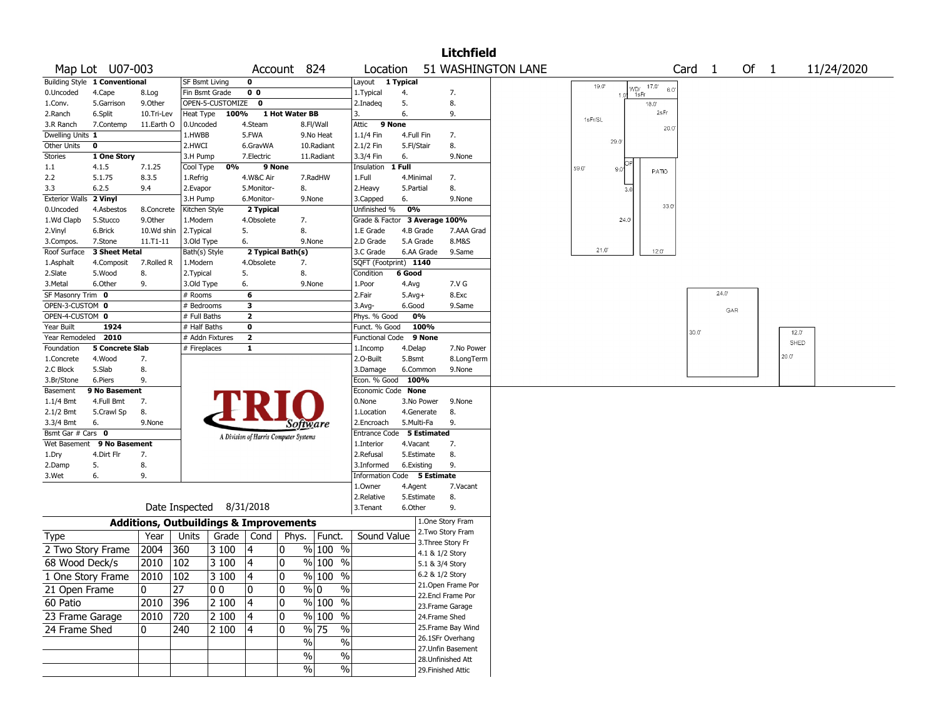|                               |                               |                                                   |                                 |                    |                                       |                |                                              |                               |                   |                         | <b>Litchfield</b>                    |                    |                |                                      |                   |       |      |                |            |
|-------------------------------|-------------------------------|---------------------------------------------------|---------------------------------|--------------------|---------------------------------------|----------------|----------------------------------------------|-------------------------------|-------------------|-------------------------|--------------------------------------|--------------------|----------------|--------------------------------------|-------------------|-------|------|----------------|------------|
|                               | Map Lot U07-003               |                                                   |                                 |                    | Account 824                           |                |                                              | Location                      |                   |                         |                                      | 51 WASHINGTON LANE |                |                                      | Card <sub>1</sub> |       | Of 1 |                | 11/24/2020 |
|                               | Building Style 1 Conventional |                                                   | SF Bsmt Living                  |                    | 0                                     |                |                                              | Layout                        | 1 Typical         |                         |                                      |                    |                |                                      |                   |       |      |                |            |
| 0.Uncoded                     | 4.Cape                        | 8.Log                                             | Fin Bsmt Grade                  |                    | 0 <sub>0</sub>                        |                |                                              | 1. Typical                    | 4.                |                         | 7.                                   |                    | 19.0<br>1.0    | $17.0^{\circ}$<br>WD/<br>6,0<br>1sFr |                   |       |      |                |            |
| 1.Conv.                       | 5.Garrison                    | 9.Other                                           |                                 | OPEN-5-CUSTOMIZE 0 |                                       |                |                                              | 2.Inadeg                      | 5.                |                         | 8.                                   |                    |                | 18.0                                 |                   |       |      |                |            |
| 2.Ranch                       | 6.Split                       | 10.Tri-Lev                                        | Heat Type                       | 100%               |                                       | 1 Hot Water BB |                                              | 3.                            | 6.                |                         | 9.                                   |                    | 1sFr/SL        | 2sFr                                 |                   |       |      |                |            |
| 3.R Ranch                     | 7.Contemp                     | 11.Earth O                                        | 0.Uncoded                       |                    | 4.Steam                               |                | 8.Fl/Wall                                    | Attic                         | 9 None            |                         |                                      |                    |                | 20.0                                 |                   |       |      |                |            |
| Dwelling Units 1              |                               |                                                   | 1.HWBB                          |                    | 5.FWA                                 |                | 9.No Heat                                    | 1.1/4 Fin                     | 4.Full Fin        |                         | 7.                                   |                    | 29.0           |                                      |                   |       |      |                |            |
| Other Units<br><b>Stories</b> | 0<br>1 One Story              |                                                   | 2.HWCI<br>3.H Pump              |                    | 6.GravWA<br>7.Electric                |                | 10.Radiant<br>11.Radiant                     | 2.1/2 Fin<br>3.3/4 Fin        | 5.Fl/Stair<br>6.  |                         | 8.<br>9.None                         |                    |                |                                      |                   |       |      |                |            |
| $1.1\,$                       | 4.1.5                         | 7.1.25                                            | Cool Type                       | 0%                 | 9 None                                |                |                                              | Insulation                    | 1 Full            |                         |                                      |                    | 59.0<br>9.0    |                                      |                   |       |      |                |            |
| 2.2                           | 5.1.75                        | 8.3.5                                             | 1.Refrig                        |                    | 4.W&C Air                             |                | 7.RadHW                                      | 1.Full                        |                   | 4.Minimal               | 7.                                   |                    |                | PATIO                                |                   |       |      |                |            |
| 3.3                           | 6.2.5                         | 9.4                                               | 2.Evapor                        |                    | 5.Monitor-                            |                | 8.                                           | 2.Heavy                       | 5.Partial         |                         | 8.                                   |                    | 3 <sub>c</sub> |                                      |                   |       |      |                |            |
| Exterior Walls 2 Vinyl        |                               |                                                   | 3.H Pump                        |                    | 6.Monitor-                            |                | 9.None                                       | 3.Capped                      | 6.                |                         | 9.None                               |                    |                |                                      |                   |       |      |                |            |
| 0.Uncoded                     | 4.Asbestos                    | 8.Concrete                                        | Kitchen Style                   |                    | 2 Typical                             |                |                                              | Unfinished %                  | 0%                |                         |                                      |                    |                | 33.0                                 |                   |       |      |                |            |
| 1.Wd Clapb                    | 5.Stucco                      | 9.0ther                                           | 1.Modern                        |                    | 4.Obsolete                            |                | 7.                                           | Grade & Factor 3 Average 100% |                   |                         |                                      |                    | 24.0           |                                      |                   |       |      |                |            |
| 2.Vinyl                       | 6.Brick                       | 10.Wd shin                                        | 2.Typical                       |                    | 5.                                    |                | 8.                                           | 1.E Grade                     |                   | 4.B Grade               | 7.AAA Grad                           |                    |                |                                      |                   |       |      |                |            |
| 3.Compos.<br>Roof Surface     | 7.Stone<br>3 Sheet Metal      | 11.T1-11                                          | 3.Old Type<br>Bath(s) Style     |                    | 6.<br>2 Typical Bath(s)               |                | 9.None                                       | 2.D Grade<br>3.C Grade        |                   | 5.A Grade<br>6.AA Grade | 8.M&S<br>9.Same                      |                    | 21.0           | $12.0^{\circ}$                       |                   |       |      |                |            |
| 1.Asphalt                     | 4.Composit                    | 7.Rolled R                                        | 1.Modern                        |                    | 4.Obsolete                            |                | 7.                                           | SQFT (Footprint) 1140         |                   |                         |                                      |                    |                |                                      |                   |       |      |                |            |
| 2.Slate                       | 5.Wood                        | 8.                                                | 2. Typical                      |                    | 5.                                    |                | 8.                                           | Condition                     | 6 Good            |                         |                                      |                    |                |                                      |                   |       |      |                |            |
| 3.Metal                       | 6.Other                       | 9.                                                | 3.Old Type                      |                    | 6.                                    |                | 9.None                                       | 1.Poor                        | 4.Avg             |                         | 7.V G                                |                    |                |                                      |                   |       |      |                |            |
| SF Masonry Trim 0             |                               |                                                   | # Rooms                         |                    | 6                                     |                |                                              | 2.Fair                        | $5.Avg+$          |                         | 8.Exc                                |                    |                |                                      |                   | 24.0' |      |                |            |
| OPEN-3-CUSTOM 0               |                               |                                                   | # Bedrooms                      |                    | з                                     |                |                                              | 3.Avg-                        | 6.Good            |                         | 9.Same                               |                    |                |                                      |                   | GAR   |      |                |            |
| OPEN-4-CUSTOM 0               |                               |                                                   | # Full Baths                    |                    | $\mathbf{2}$                          |                |                                              | Phys. % Good                  |                   | 0%                      |                                      |                    |                |                                      |                   |       |      |                |            |
| Year Built                    | 1924                          |                                                   | # Half Baths                    |                    | 0                                     |                |                                              | Funct. % Good                 |                   | 100%                    |                                      |                    |                |                                      | 30.0              |       |      | $12.0^{\circ}$ |            |
| Year Remodeled 2010           | <b>5 Concrete Slab</b>        |                                                   | # Addn Fixtures<br># Fireplaces |                    | $\mathbf{2}$<br>$\mathbf{1}$          |                |                                              | Functional Code               |                   | 9 None                  | 7.No Power                           |                    |                |                                      |                   |       |      | SHED           |            |
| Foundation<br>1.Concrete      | 4.Wood                        | 7.                                                |                                 |                    |                                       |                |                                              | 1.Incomp<br>2.O-Built         | 4.Delap<br>5.Bsmt |                         | 8.LongTerm                           |                    |                |                                      |                   |       |      | 20.0           |            |
| 2.C Block                     | 5.Slab                        | 8.                                                |                                 |                    |                                       |                |                                              | 3.Damage                      |                   | 6.Common                | 9.None                               |                    |                |                                      |                   |       |      |                |            |
| 3.Br/Stone                    | 6.Piers                       | 9.                                                |                                 |                    |                                       |                |                                              | Econ. % Good                  |                   | 100%                    |                                      |                    |                |                                      |                   |       |      |                |            |
| Basement                      | 9 No Basement                 |                                                   |                                 |                    |                                       |                |                                              | Economic Code None            |                   |                         |                                      |                    |                |                                      |                   |       |      |                |            |
| $1.1/4$ Bmt                   | 4.Full Bmt                    | 7.                                                |                                 |                    |                                       |                |                                              | 0.None                        |                   | 3.No Power              | 9.None                               |                    |                |                                      |                   |       |      |                |            |
| $2.1/2$ Bmt                   | 5.Crawl Sp                    | 8.                                                |                                 |                    |                                       |                |                                              | 1.Location                    |                   | 4.Generate              | 8.                                   |                    |                |                                      |                   |       |      |                |            |
| 3.3/4 Bmt                     | 6.                            | 9.None                                            |                                 |                    |                                       |                | Software                                     | 2.Encroach                    |                   | 5.Multi-Fa              | 9.                                   |                    |                |                                      |                   |       |      |                |            |
| Bsmt Gar # Cars 0             |                               |                                                   |                                 |                    | A Division of Harris Computer Systems |                |                                              | Entrance Code 5 Estimated     |                   |                         |                                      |                    |                |                                      |                   |       |      |                |            |
| Wet Basement                  | 9 No Basement<br>4.Dirt Flr   |                                                   |                                 |                    |                                       |                |                                              | 1.Interior<br>2.Refusal       | 4.Vacant          | 5.Estimate              | 7.<br>8.                             |                    |                |                                      |                   |       |      |                |            |
| 1.Dry<br>2.Damp               | 5.                            | 7.<br>8.                                          |                                 |                    |                                       |                |                                              | 3.Informed                    |                   | 6.Existing              | 9.                                   |                    |                |                                      |                   |       |      |                |            |
| 3.Wet                         | 6.                            | 9.                                                |                                 |                    |                                       |                |                                              | Information Code              |                   | 5 Estimate              |                                      |                    |                |                                      |                   |       |      |                |            |
|                               |                               |                                                   |                                 |                    |                                       |                |                                              | 1.Owner                       | 4.Agent           |                         | 7.Vacant                             |                    |                |                                      |                   |       |      |                |            |
|                               |                               |                                                   |                                 |                    |                                       |                |                                              | 2.Relative                    |                   | 5.Estimate              | 8.                                   |                    |                |                                      |                   |       |      |                |            |
|                               |                               | Date Inspected 8/31/2018                          |                                 |                    |                                       |                |                                              | 3.Tenant                      | 6.Other           |                         | 9.                                   |                    |                |                                      |                   |       |      |                |            |
|                               |                               | <b>Additions, Outbuildings &amp; Improvements</b> |                                 |                    |                                       |                |                                              |                               |                   |                         | 1.One Story Fram                     |                    |                |                                      |                   |       |      |                |            |
| <b>Type</b>                   |                               | Year                                              | Units                           | Grade              | Cond                                  | Phys.          | Funct.                                       | Sound Value                   |                   |                         | 2.Two Story Fram                     |                    |                |                                      |                   |       |      |                |            |
| 2 Two Story Frame             |                               | 2004                                              | 360                             | 3 100              | 4                                     | 10             | % 100 %                                      |                               |                   |                         | 3. Three Story Fr                    |                    |                |                                      |                   |       |      |                |            |
| 68 Wood Deck/s                |                               |                                                   |                                 |                    |                                       | ٥١             | $%100$ %                                     |                               |                   |                         | 4.1 & 1/2 Story                      |                    |                |                                      |                   |       |      |                |            |
|                               |                               | 2010                                              | 102                             | 3100               | 4                                     |                |                                              |                               |                   |                         | 5.1 & 3/4 Story                      |                    |                |                                      |                   |       |      |                |            |
| 1 One Story Frame             |                               | 2010 102                                          |                                 | 3 100              | 4                                     | 10             | $\%$ 100 $\overline{\%}$                     |                               |                   |                         | 6.2 & 1/2 Story<br>21.Open Frame Por |                    |                |                                      |                   |       |      |                |            |
| 21 Open Frame                 |                               | 0                                                 | 27                              | $ 00\rangle$       | $\pmb{0}$                             | 0              | $\frac{9}{0}$<br>$\%$                        |                               |                   |                         | 22.Encl Frame Por                    |                    |                |                                      |                   |       |      |                |            |
| 60 Patio                      |                               | 2010                                              | 396                             | 2 100              | 4                                     | 0              | $\sqrt[9]{\frac{100}{90}}$ %                 |                               |                   |                         | 23. Frame Garage                     |                    |                |                                      |                   |       |      |                |            |
| 23 Frame Garage               |                               | 2010                                              | 720                             | 2 100              | 4                                     | 0              | $\sqrt[9]{\frac{100}{90}}$ %                 |                               |                   |                         | 24.Frame Shed                        |                    |                |                                      |                   |       |      |                |            |
| 24 Frame Shed                 |                               | 0                                                 | 240                             | 2 100              | 4                                     | 10             | $\frac{9}{6}$ 75<br>$\overline{\frac{0}{0}}$ |                               |                   |                         | 25. Frame Bay Wind                   |                    |                |                                      |                   |       |      |                |            |
|                               |                               |                                                   |                                 |                    |                                       |                | $\sqrt{6}$                                   | $\%$                          |                   |                         | 26.1SFr Overhang                     |                    |                |                                      |                   |       |      |                |            |
|                               |                               |                                                   |                                 |                    |                                       |                | $\%$                                         | $\%$                          |                   |                         | 27.Unfin Basement                    |                    |                |                                      |                   |       |      |                |            |
|                               |                               |                                                   |                                 |                    |                                       |                | $\sqrt{6}$                                   | $\sqrt[6]{6}$                 |                   |                         | 28. Unfinished Att                   |                    |                |                                      |                   |       |      |                |            |
|                               |                               |                                                   |                                 |                    |                                       |                |                                              |                               |                   |                         | 29. Finished Attic                   |                    |                |                                      |                   |       |      |                |            |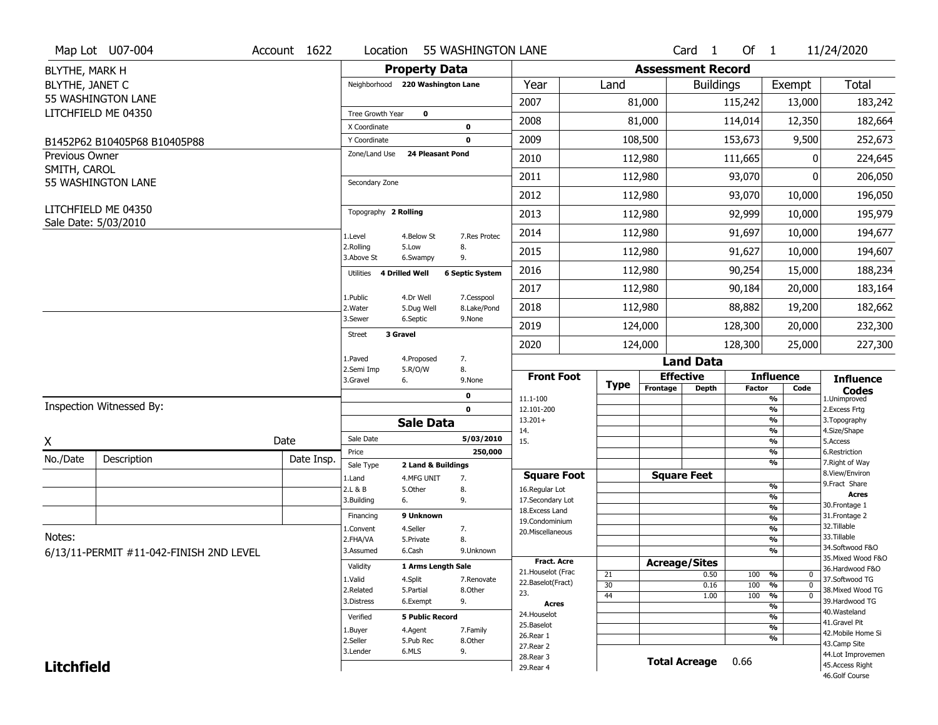|                       | Map Lot U07-004                         | Account 1622 | Location                    | 55 WASHINGTON LANE                                   |                                    |             |          | Card <sub>1</sub>            | Of $1$        |                                           | 11/24/2020                           |
|-----------------------|-----------------------------------------|--------------|-----------------------------|------------------------------------------------------|------------------------------------|-------------|----------|------------------------------|---------------|-------------------------------------------|--------------------------------------|
| BLYTHE, MARK H        |                                         |              |                             | <b>Property Data</b>                                 |                                    |             |          | <b>Assessment Record</b>     |               |                                           |                                      |
| BLYTHE, JANET C       |                                         |              |                             | Neighborhood 220 Washington Lane                     | Year                               | Land        |          | <b>Buildings</b>             |               | Exempt                                    | <b>Total</b>                         |
|                       | 55 WASHINGTON LANE                      |              |                             |                                                      | 2007                               |             | 81,000   |                              | 115,242       | 13,000                                    | 183,242                              |
|                       | LITCHFIELD ME 04350                     |              | Tree Growth Year            | $\mathbf 0$                                          |                                    |             |          |                              |               |                                           |                                      |
|                       |                                         |              | X Coordinate                | 0                                                    | 2008                               |             | 81,000   |                              | 114,014       | 12,350                                    | 182,664                              |
|                       | B1452P62 B10405P68 B10405P88            |              | Y Coordinate                | $\mathbf 0$                                          | 2009                               |             | 108,500  |                              | 153,673       | 9,500                                     | 252,673                              |
| <b>Previous Owner</b> |                                         |              | Zone/Land Use               | <b>24 Pleasant Pond</b>                              | 2010                               |             | 112,980  |                              | 111,665       |                                           | 224,645                              |
| SMITH, CAROL          | 55 WASHINGTON LANE                      |              | Secondary Zone              |                                                      | 2011                               |             | 112,980  |                              | 93,070        | ŋ                                         | 206,050                              |
|                       |                                         |              |                             |                                                      | 2012                               |             | 112,980  |                              | 93,070        | 10,000                                    | 196,050                              |
|                       | LITCHFIELD ME 04350                     |              | Topography 2 Rolling        |                                                      | 2013                               |             | 112,980  |                              | 92,999        | 10,000                                    | 195,979                              |
|                       | Sale Date: 5/03/2010                    |              | 1.Level                     | 7.Res Protec<br>4.Below St                           | 2014                               |             | 112,980  |                              | 91,697        | 10,000                                    | 194,677                              |
|                       |                                         |              | 2.Rolling<br>3.Above St     | 5.Low<br>8.<br>9.<br>6.Swampy                        | 2015                               |             | 112,980  |                              | 91,627        | 10,000                                    | 194,607                              |
|                       |                                         |              | 4 Drilled Well<br>Utilities | <b>6 Septic System</b>                               | 2016                               |             | 112,980  |                              | 90,254        | 15,000                                    | 188,234                              |
|                       |                                         |              |                             |                                                      | 2017                               |             | 112,980  |                              | 90,184        | 20,000                                    | 183,164                              |
|                       |                                         |              | 1.Public<br>2. Water        | 7.Cesspool<br>4.Dr Well<br>5.Dug Well<br>8.Lake/Pond | 2018                               |             | 112,980  |                              | 88,882        | 19,200                                    | 182,662                              |
|                       |                                         |              | 3.Sewer                     | 6.Septic<br>9.None                                   | 2019                               |             | 124,000  |                              | 128,300       | 20,000                                    | 232,300                              |
|                       |                                         |              | 3 Gravel<br><b>Street</b>   |                                                      | 2020                               |             | 124,000  |                              | 128,300       | 25,000                                    | 227,300                              |
|                       |                                         |              | 1.Paved                     | 7.<br>4.Proposed                                     |                                    |             |          | <b>Land Data</b>             |               |                                           |                                      |
|                       |                                         |              | 2.Semi Imp<br>3.Gravel      | 8.<br>5.R/O/W<br>6.<br>9.None                        | <b>Front Foot</b>                  |             |          | <b>Effective</b>             |               | <b>Influence</b>                          | <b>Influence</b>                     |
|                       |                                         |              |                             |                                                      |                                    |             |          |                              |               |                                           |                                      |
|                       |                                         |              |                             | 0                                                    |                                    | <b>Type</b> | Frontage | <b>Depth</b>                 | <b>Factor</b> | Code                                      | <b>Codes</b>                         |
|                       | Inspection Witnessed By:                |              |                             | $\mathbf 0$                                          | 11.1-100<br>12.101-200             |             |          |                              |               | %<br>%                                    | 1.Unimproved<br>2.Excess Frtg        |
|                       |                                         |              |                             | <b>Sale Data</b>                                     | $13.201+$                          |             |          |                              |               | %                                         | 3. Topography                        |
|                       |                                         | Date         | Sale Date                   | 5/03/2010                                            | 14.<br>15.                         |             |          |                              |               | %<br>%                                    | 4.Size/Shape<br>5.Access             |
| Χ                     |                                         |              | Price                       | 250,000                                              |                                    |             |          |                              |               | %                                         | 6.Restriction                        |
| No./Date              | Description                             | Date Insp.   | Sale Type                   | 2 Land & Buildings                                   |                                    |             |          |                              |               | %                                         | 7. Right of Way                      |
|                       |                                         |              | 1.Land                      | 4.MFG UNIT<br>7.                                     | <b>Square Foot</b>                 |             |          | <b>Square Feet</b>           |               | %                                         | 8.View/Environ<br>9. Fract Share     |
|                       |                                         |              | 2.L & B<br>3.Building       | 5.Other<br>8.<br>9.<br>6.                            | 16.Regular Lot<br>17.Secondary Lot |             |          |                              |               | %                                         | <b>Acres</b>                         |
|                       |                                         |              |                             |                                                      | 18. Excess Land                    |             |          |                              |               | $\frac{9}{6}$                             | 30. Frontage 1                       |
|                       |                                         |              | Financing                   | 9 Unknown                                            | 19.Condominium                     |             |          |                              |               | $\overline{\frac{9}{6}}$                  | 31. Frontage 2<br>32.Tillable        |
| Notes:                |                                         |              | 1.Convent                   | 4.Seller<br>7.                                       | 20.Miscellaneous                   |             |          |                              |               | $\overline{\frac{9}{6}}$                  | 33.Tillable                          |
|                       |                                         |              | 2.FHA/VA<br>3.Assumed       | 8.<br>5.Private<br>6.Cash<br>9.Unknown               |                                    |             |          |                              |               | $\overline{\frac{9}{6}}$<br>$\frac{9}{6}$ | 34.Softwood F&O                      |
|                       | 6/13/11-PERMIT #11-042-FINISH 2ND LEVEL |              |                             |                                                      | <b>Fract. Acre</b>                 |             |          |                              |               |                                           | 35. Mixed Wood F&O                   |
|                       |                                         |              | Validity                    | 1 Arms Length Sale                                   | 21. Houselot (Frac                 | 21          |          | <b>Acreage/Sites</b><br>0.50 | 100           | %<br>$\mathbf 0$                          | 36.Hardwood F&O                      |
|                       |                                         |              | 1.Valid                     | 4.Split<br>7.Renovate                                | 22.Baselot(Fract)                  | 30          |          | 0.16                         | 100           | %<br>$\mathbf 0$                          | 37.Softwood TG                       |
|                       |                                         |              | 2.Related                   | 5.Partial<br>8.Other                                 | 23.                                | 44          |          | 1.00                         | 100           | %<br>$\mathbf 0$                          | 38. Mixed Wood TG                    |
|                       |                                         |              | 3.Distress                  | 9.<br>6.Exempt                                       | <b>Acres</b>                       |             |          |                              |               | %                                         | 39.Hardwood TG<br>40. Wasteland      |
|                       |                                         |              | Verified                    | <b>5 Public Record</b>                               | 24. Houselot                       |             |          |                              |               | %                                         | 41.Gravel Pit                        |
|                       |                                         |              | 1.Buyer                     | 4.Agent<br>7.Family                                  | 25.Baselot<br>26.Rear 1            |             |          |                              |               | %                                         | 42. Mobile Home Si                   |
|                       |                                         |              | 2.Seller                    | 5.Pub Rec<br>8.Other                                 | 27.Rear 2                          |             |          |                              |               | %                                         | 43.Camp Site                         |
| <b>Litchfield</b>     |                                         |              | 3.Lender                    | 6.MLS<br>9.                                          | 28. Rear 3<br>29. Rear 4           |             |          | <b>Total Acreage</b>         | 0.66          |                                           | 44.Lot Improvemen<br>45.Access Right |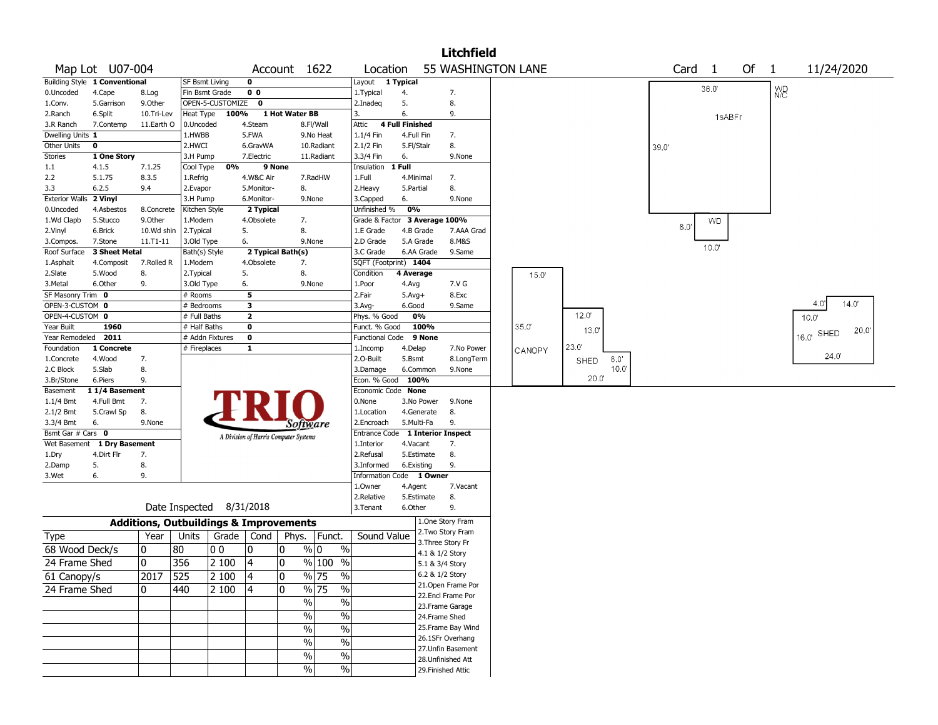|                         |                               |              |                                                   |                  |                         |                                       |                                   |                               |                        |                 | <b>Litchfield</b>                      |        |       |              |      |      |                |    |                      |                   |  |
|-------------------------|-------------------------------|--------------|---------------------------------------------------|------------------|-------------------------|---------------------------------------|-----------------------------------|-------------------------------|------------------------|-----------------|----------------------------------------|--------|-------|--------------|------|------|----------------|----|----------------------|-------------------|--|
|                         | Map Lot U07-004               |              |                                                   |                  |                         | Account 1622                          |                                   | Location                      |                        |                 | 55 WASHINGTON LANE                     |        |       |              |      | Card | $\overline{1}$ | Of | $\mathbf{1}$         | 11/24/2020        |  |
|                         | Building Style 1 Conventional |              | <b>SF Bsmt Living</b>                             |                  | 0                       |                                       |                                   | Layout 1 Typical              |                        |                 |                                        |        |       |              |      |      |                |    |                      |                   |  |
| 0.Uncoded               | 4.Cape                        | 8.Log        | Fin Bsmt Grade                                    |                  | 0 <sub>0</sub>          |                                       |                                   | 1. Typical                    | 4.                     |                 | 7.                                     |        |       |              |      |      | 36.0'          |    | <b>W<sub>C</sub></b> |                   |  |
| 1.Conv.                 | 5.Garrison                    | 9.0ther      |                                                   | OPEN-5-CUSTOMIZE | $\mathbf 0$             |                                       |                                   | 2.Inadeg                      | 5.                     |                 | 8.                                     |        |       |              |      |      |                |    |                      |                   |  |
| 2.Ranch                 | 6.Split                       | 10.Tri-Lev   | Heat Type                                         | 100%             |                         | 1 Hot Water BB                        |                                   | 3.                            | 6.                     |                 | 9.                                     |        |       |              |      |      | 1sABFr         |    |                      |                   |  |
| 3.R Ranch               | 7.Contemp                     | 11.Earth O   | 0.Uncoded                                         |                  | 4.Steam                 |                                       | 8.Fl/Wall                         | Attic                         | <b>4 Full Finished</b> |                 |                                        |        |       |              |      |      |                |    |                      |                   |  |
| Dwelling Units 1        |                               |              | 1.HWBB                                            |                  | 5.FWA                   |                                       | 9.No Heat                         | $1.1/4$ Fin                   | 4.Full Fin             |                 | 7.                                     |        |       |              |      |      |                |    |                      |                   |  |
| Other Units             | $\mathbf 0$                   |              | 2.HWCI                                            |                  | 6.GravWA                |                                       | 10.Radiant                        | 2.1/2 Fin                     | 5.Fl/Stair             |                 | 8.                                     |        |       |              | 39.0 |      |                |    |                      |                   |  |
| Stories                 | 1 One Story                   |              | 3.H Pump                                          |                  | 7.Electric              |                                       | 11.Radiant                        | 3.3/4 Fin                     | 6.                     |                 | 9.None                                 |        |       |              |      |      |                |    |                      |                   |  |
| 1.1                     | 4.1.5                         | 7.1.25       | Cool Type                                         | 0%               | 9 None                  |                                       | 7.RadHW                           | Insulation<br>1.Full          | $1$ Full<br>4.Minimal  |                 |                                        |        |       |              |      |      |                |    |                      |                   |  |
| 2.2<br>3.3              | 5.1.75<br>6.2.5               | 8.3.5<br>9.4 | 1.Refrig<br>2.Evapor                              |                  | 4.W&C Air<br>5.Monitor- | 8.                                    |                                   | 2.Heavy                       | 5.Partial              |                 | 7.<br>8.                               |        |       |              |      |      |                |    |                      |                   |  |
| Exterior Walls 2 Vinyl  |                               |              | 3.H Pump                                          |                  | 6.Monitor-              | 9.None                                |                                   | 3.Capped                      | 6.                     |                 | 9.None                                 |        |       |              |      |      |                |    |                      |                   |  |
| 0.Uncoded               | 4.Asbestos                    | 8.Concrete   | Kitchen Style                                     |                  | 2 Typical               |                                       |                                   | Unfinished %                  | 0%                     |                 |                                        |        |       |              |      |      |                |    |                      |                   |  |
| 1.Wd Clapb              | 5.Stucco                      | 9.Other      | 1.Modern                                          |                  | 4.Obsolete              | 7.                                    |                                   | Grade & Factor 3 Average 100% |                        |                 |                                        |        |       |              |      |      | <b>WD</b>      |    |                      |                   |  |
| 2.Vinyl                 | 6.Brick                       | 10.Wd shin   | 2. Typical                                        |                  | 5.                      | 8.                                    |                                   | 1.E Grade                     |                        | 4.B Grade       | 7.AAA Grad                             |        |       |              |      | 8.0  |                |    |                      |                   |  |
| 3.Compos.               | 7.Stone                       | 11.T1-11     | 3.Old Type                                        |                  | 6.                      | 9.None                                |                                   | 2.D Grade                     |                        | 5.A Grade       | 8.M&S                                  |        |       |              |      |      |                |    |                      |                   |  |
| Roof Surface            | 3 Sheet Metal                 |              | Bath(s) Style                                     |                  |                         | 2 Typical Bath(s)                     |                                   | 3.C Grade                     |                        | 6.AA Grade      | 9.Same                                 |        |       |              |      |      | $10.0^{\circ}$ |    |                      |                   |  |
| 1.Asphalt               | 4.Composit                    | 7.Rolled R   | 1.Modern                                          |                  | 4.Obsolete              | 7.                                    |                                   | SQFT (Footprint) 1404         |                        |                 |                                        |        |       |              |      |      |                |    |                      |                   |  |
| 2.Slate                 | 5.Wood                        | 8.           | 2. Typical                                        |                  | 5.                      | 8.                                    |                                   | Condition                     | 4 Average              |                 |                                        | 15.0'  |       |              |      |      |                |    |                      |                   |  |
| 3. Metal                | 6.Other                       | 9.           | 3.Old Type                                        |                  | 6.                      | 9.None                                |                                   | 1.Poor                        | 4.Avg                  |                 | 7.V G                                  |        |       |              |      |      |                |    |                      |                   |  |
| SF Masonry Trim 0       |                               |              | # Rooms                                           |                  | 5                       |                                       |                                   | 2.Fair                        | $5.Avg+$               |                 | 8.Exc                                  |        |       |              |      |      |                |    |                      |                   |  |
| OPEN-3-CUSTOM 0         |                               |              | # Bedrooms                                        |                  | 3                       |                                       |                                   | $3.$ Avg-                     | 6.Good                 |                 | 9.Same                                 |        |       |              |      |      |                |    |                      | 14.0<br>4.0       |  |
| OPEN-4-CUSTOM 0         |                               |              | # Full Baths                                      |                  | $\overline{\mathbf{2}}$ |                                       |                                   | Phys. % Good                  |                        | 0%              |                                        |        | 12.0' |              |      |      |                |    |                      | 10.0              |  |
| Year Built              | 1960                          |              | # Half Baths                                      |                  | 0                       |                                       |                                   | Funct. % Good                 |                        | 100%            |                                        | 35.0'  | 13.0  |              |      |      |                |    |                      | 20.0<br>16.0 SHED |  |
| Year Remodeled          | 2011                          |              | # Addn Fixtures                                   |                  | $\mathbf 0$             |                                       |                                   | Functional Code               |                        | 9 None          |                                        |        |       |              |      |      |                |    |                      |                   |  |
| Foundation              | 1 Concrete                    |              | # Fireplaces                                      |                  | $\mathbf{1}$            |                                       |                                   | 1.Incomp                      | 4.Delap                |                 | 7.No Power                             | CANOPY | 23.0  |              |      |      |                |    |                      | 24.0              |  |
| 1.Concrete              | 4.Wood                        | 7.           |                                                   |                  |                         |                                       |                                   | 2.O-Built                     | 5.Bsmt                 |                 | 8.LongTerm                             |        | SHED  | 8.0'<br>10.0 |      |      |                |    |                      |                   |  |
| 2.C Block<br>3.Br/Stone | 5.Slab<br>6.Piers             | 8.<br>9.     |                                                   |                  |                         |                                       |                                   | 3.Damage<br>Econ. % Good 100% |                        | 6.Common        | 9.None                                 |        |       | 20.0"        |      |      |                |    |                      |                   |  |
| Basement                | 11/4 Basement                 |              |                                                   |                  |                         |                                       |                                   | Economic Code None            |                        |                 |                                        |        |       |              |      |      |                |    |                      |                   |  |
| $1.1/4$ Bmt             | 4.Full Bmt                    | 7.           |                                                   |                  |                         |                                       |                                   | 0.None                        |                        | 3.No Power      | 9.None                                 |        |       |              |      |      |                |    |                      |                   |  |
| 2.1/2 Bmt               | 5.Crawl Sp                    | 8.           |                                                   |                  |                         |                                       |                                   | 1.Location                    |                        | 4.Generate      | 8.                                     |        |       |              |      |      |                |    |                      |                   |  |
| 3.3/4 Bmt               | 6.                            | 9.None       |                                                   |                  |                         | Software                              |                                   | 2.Encroach                    | 5.Multi-Fa             |                 | 9.                                     |        |       |              |      |      |                |    |                      |                   |  |
| Bsmt Gar # Cars 0       |                               |              |                                                   |                  |                         | A Division of Harris Computer Systems |                                   | Entrance Code                 |                        |                 | 1 Interior Inspect                     |        |       |              |      |      |                |    |                      |                   |  |
|                         | Wet Basement 1 Dry Basement   |              |                                                   |                  |                         |                                       |                                   | 1.Interior                    | 4.Vacant               |                 | 7.                                     |        |       |              |      |      |                |    |                      |                   |  |
| 1.Dry                   | 4.Dirt Flr                    | 7.           |                                                   |                  |                         |                                       |                                   | 2.Refusal                     |                        | 5.Estimate      | 8.                                     |        |       |              |      |      |                |    |                      |                   |  |
| 2.Damp                  | 5.                            | 8.           |                                                   |                  |                         |                                       |                                   | 3.Informed                    | 6.Existing             |                 | 9.                                     |        |       |              |      |      |                |    |                      |                   |  |
| 3.Wet                   | 6.                            | 9.           |                                                   |                  |                         |                                       |                                   | Information Code 1 Owner      |                        |                 |                                        |        |       |              |      |      |                |    |                      |                   |  |
|                         |                               |              |                                                   |                  |                         |                                       |                                   | 1.0wner                       | 4.Agent                |                 | 7.Vacant                               |        |       |              |      |      |                |    |                      |                   |  |
|                         |                               |              |                                                   |                  |                         |                                       |                                   | 2.Relative                    |                        | 5.Estimate      | 8.                                     |        |       |              |      |      |                |    |                      |                   |  |
|                         |                               |              | Date Inspected 8/31/2018                          |                  |                         |                                       |                                   | 3.Tenant                      | 6.Other                |                 | 9.                                     |        |       |              |      |      |                |    |                      |                   |  |
|                         |                               |              | <b>Additions, Outbuildings &amp; Improvements</b> |                  |                         |                                       |                                   |                               |                        |                 | 1.One Story Fram                       |        |       |              |      |      |                |    |                      |                   |  |
| Type                    |                               | Year         | Units                                             |                  |                         | Grade   Cond   Phys.   Funct.         |                                   | Sound Value                   |                        |                 | 2. Two Story Fram                      |        |       |              |      |      |                |    |                      |                   |  |
| 68 Wood Deck/s          |                               | 10           | 80                                                | 0 <sub>0</sub>   | 10                      | 0                                     | $\%$ 0<br>$\%$                    |                               |                        |                 | 3. Three Story Fr                      |        |       |              |      |      |                |    |                      |                   |  |
|                         |                               | $\mathbf{0}$ |                                                   |                  |                         |                                       | $%100$ %                          |                               |                        |                 | 4.1 & 1/2 Story                        |        |       |              |      |      |                |    |                      |                   |  |
| 24 Frame Shed           |                               |              | 356                                               | 2 100            | 4                       | 0                                     |                                   |                               |                        | 5.1 & 3/4 Story |                                        |        |       |              |      |      |                |    |                      |                   |  |
| 61 Canopy/s             |                               | 2017         | 525                                               | 2 100            | 4                       | $\pmb{0}$                             | $\frac{9}{6}$ 75<br>$\frac{9}{6}$ |                               |                        |                 | 6.2 & 1/2 Story                        |        |       |              |      |      |                |    |                      |                   |  |
| 24 Frame Shed           |                               | $\mathbf{0}$ | 440                                               | 2 100            | 4                       | 0                                     | $\frac{9}{6}$ 75<br>$\%$          |                               |                        |                 | 21.Open Frame Por<br>22.Encl Frame Por |        |       |              |      |      |                |    |                      |                   |  |
|                         |                               |              |                                                   |                  |                         | $\%$                                  | $\frac{0}{0}$                     |                               |                        |                 | 23. Frame Garage                       |        |       |              |      |      |                |    |                      |                   |  |
|                         |                               |              |                                                   |                  |                         | $\%$                                  | $\sqrt{6}$                        |                               |                        |                 | 24.Frame Shed                          |        |       |              |      |      |                |    |                      |                   |  |
|                         |                               |              |                                                   |                  |                         |                                       | $\frac{0}{6}$                     |                               |                        |                 | 25. Frame Bay Wind                     |        |       |              |      |      |                |    |                      |                   |  |
|                         |                               |              |                                                   |                  |                         | $\%$                                  |                                   |                               |                        |                 | 26.1SFr Overhang                       |        |       |              |      |      |                |    |                      |                   |  |
|                         |                               |              |                                                   |                  |                         | $\%$                                  | $\frac{9}{6}$                     |                               |                        |                 | 27.Unfin Basement                      |        |       |              |      |      |                |    |                      |                   |  |
|                         |                               |              |                                                   |                  |                         | $\%$                                  | $\sqrt{6}$                        |                               |                        |                 | 28. Unfinished Att                     |        |       |              |      |      |                |    |                      |                   |  |
|                         |                               |              |                                                   |                  |                         | $\%$                                  | $\sqrt{6}$                        |                               |                        |                 | 29. Finished Attic                     |        |       |              |      |      |                |    |                      |                   |  |
|                         |                               |              |                                                   |                  |                         |                                       |                                   |                               |                        |                 |                                        |        |       |              |      |      |                |    |                      |                   |  |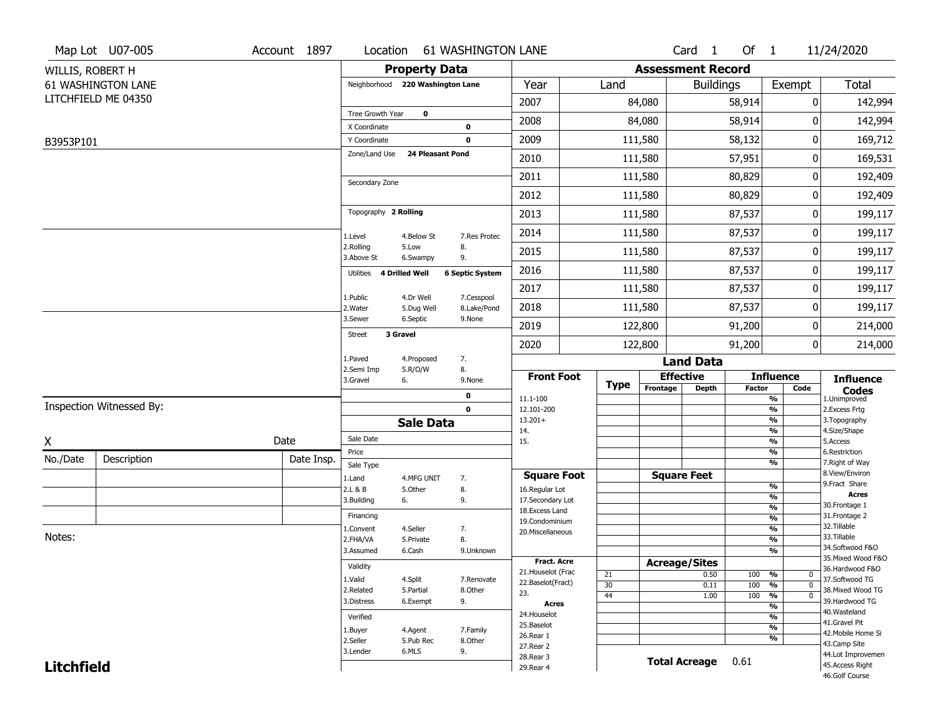|                   | Map Lot U07-005          | Account 1897 | Location                         |                      | <b>61 WASHINGTON LANE</b>  |                                         |             |                          | Card <sub>1</sub>    | Of 1          |                                 | 11/24/2020                            |
|-------------------|--------------------------|--------------|----------------------------------|----------------------|----------------------------|-----------------------------------------|-------------|--------------------------|----------------------|---------------|---------------------------------|---------------------------------------|
| WILLIS, ROBERT H  |                          |              |                                  | <b>Property Data</b> |                            |                                         |             | <b>Assessment Record</b> |                      |               |                                 |                                       |
|                   | 61 WASHINGTON LANE       |              | Neighborhood 220 Washington Lane |                      |                            | Year                                    | Land        |                          | <b>Buildings</b>     |               | Exempt                          | <b>Total</b>                          |
|                   | LITCHFIELD ME 04350      |              |                                  |                      |                            | 2007                                    |             | 84,080                   |                      | 58,914        | 0                               | 142,994                               |
|                   |                          |              | Tree Growth Year                 | $\mathbf 0$          |                            | 2008                                    |             | 84,080                   |                      | 58,914        | 0                               | 142,994                               |
|                   |                          |              | X Coordinate<br>Y Coordinate     |                      | $\mathbf 0$<br>$\mathbf 0$ | 2009                                    |             | 111,580                  |                      | 58,132        | 0                               | 169,712                               |
| B3953P101         |                          |              | Zone/Land Use                    | 24 Pleasant Pond     |                            |                                         |             |                          |                      |               |                                 |                                       |
|                   |                          |              |                                  |                      |                            | 2010                                    |             | 111,580                  |                      | 57,951        | 0                               | 169,531                               |
|                   |                          |              | Secondary Zone                   |                      |                            | 2011                                    |             | 111,580                  |                      | 80,829        | 0                               | 192,409                               |
|                   |                          |              |                                  |                      |                            | 2012                                    |             | 111,580                  |                      | 80,829        | 0                               | 192,409                               |
|                   |                          |              | Topography 2 Rolling             |                      |                            | 2013                                    |             | 111,580                  |                      | 87,537        | 0                               | 199,117                               |
|                   |                          |              | 1.Level                          | 4.Below St           | 7.Res Protec               | 2014                                    |             | 111,580                  |                      | 87,537        | 0                               | 199,117                               |
|                   |                          |              | 2.Rolling<br>3.Above St          | 5.Low<br>6.Swampy    | 8.<br>9.                   | 2015                                    |             | 111,580                  |                      | 87,537        | 0                               | 199,117                               |
|                   |                          |              | Utilities                        | 4 Drilled Well       | <b>6 Septic System</b>     | 2016                                    |             | 111,580                  |                      | 87,537        | 0                               | 199,117                               |
|                   |                          |              |                                  | 4.Dr Well            | 7.Cesspool                 | 2017                                    |             | 111,580                  |                      | 87,537        | 0                               | 199,117                               |
|                   |                          |              | 1.Public<br>2. Water             | 5.Dug Well           | 8.Lake/Pond                | 2018                                    |             | 111,580                  |                      | 87,537        | 0                               | 199,117                               |
|                   |                          |              | 3.Sewer                          | 6.Septic             | 9.None                     | 2019                                    |             | 122,800                  |                      | 91,200        | 0                               | 214,000                               |
|                   |                          |              | <b>Street</b>                    | 3 Gravel             |                            | 2020                                    |             | 122,800                  |                      | 91,200        | 0                               | 214,000                               |
|                   |                          |              | 1.Paved                          | 4.Proposed           | 7.                         |                                         |             |                          | <b>Land Data</b>     |               |                                 |                                       |
|                   |                          |              | 2.Semi Imp<br>3.Gravel           | 5.R/O/W<br>6.        | 8.<br>9.None               | <b>Front Foot</b>                       |             |                          | <b>Effective</b>     |               | <b>Influence</b>                | <b>Influence</b>                      |
|                   |                          |              |                                  |                      | 0                          | 11.1-100                                | <b>Type</b> | Frontage                 | <b>Depth</b>         | <b>Factor</b> | Code<br>%                       | <b>Codes</b><br>1.Unimproved          |
|                   | Inspection Witnessed By: |              |                                  |                      | $\mathbf 0$                | 12.101-200                              |             |                          |                      |               | $\frac{9}{6}$                   | 2.Excess Frtg                         |
|                   |                          |              |                                  | <b>Sale Data</b>     |                            | $13.201+$<br>14.                        |             |                          |                      |               | %<br>%                          | 3. Topography<br>4.Size/Shape         |
| X                 |                          | Date         | Sale Date                        |                      |                            | 15.                                     |             |                          |                      |               | $\frac{9}{6}$                   | 5.Access                              |
| No./Date          | Description              | Date Insp.   | Price                            |                      |                            |                                         |             |                          |                      |               | %<br>%                          | 6.Restriction<br>7. Right of Way      |
|                   |                          |              | Sale Type<br>1.Land              | 4.MFG UNIT           | 7.                         | <b>Square Foot</b>                      |             |                          | <b>Square Feet</b>   |               |                                 | 8.View/Environ                        |
|                   |                          |              | 2.L & B                          | 5.Other              | 8.                         | 16.Regular Lot                          |             |                          |                      |               | $\frac{9}{6}$                   | 9.Fract Share                         |
|                   |                          |              | 3.Building                       | 6.                   | 9.                         | 17.Secondary Lot                        |             |                          |                      |               | $\frac{9}{6}$<br>$\frac{9}{6}$  | <b>Acres</b><br>30. Frontage 1        |
|                   |                          |              | Financing                        |                      |                            | 18.Excess Land<br>19.Condominium        |             |                          |                      |               | $\frac{9}{6}$                   | 31. Frontage 2                        |
|                   |                          |              | 1.Convent                        | 4.Seller             | 7.                         | 20.Miscellaneous                        |             |                          |                      |               | $\frac{9}{6}$                   | 32.Tillable                           |
| Notes:            |                          |              | 2.FHA/VA                         | 5.Private            | 8.                         |                                         |             |                          |                      |               | $\frac{9}{6}$                   | 33.Tillable                           |
|                   |                          |              | 3.Assumed                        | 6.Cash               | 9.Unknown                  |                                         |             |                          |                      |               | $\frac{9}{6}$                   | 34.Softwood F&O                       |
|                   |                          |              | Validity                         |                      |                            | <b>Fract. Acre</b>                      |             |                          | <b>Acreage/Sites</b> |               |                                 | 35. Mixed Wood F&O<br>36.Hardwood F&O |
|                   |                          |              | 1.Valid                          | 4.Split              | 7.Renovate                 | 21. Houselot (Frac<br>22.Baselot(Fract) | 21          |                          | 0.50                 | 100           | %<br>0                          | 37.Softwood TG                        |
|                   |                          |              | 2.Related                        | 5.Partial            | 8.Other                    | 23.                                     | 30          |                          | 0.11                 | 100           | %<br>$\mathbf 0$<br>$\mathbf 0$ | 38. Mixed Wood TG                     |
|                   |                          |              | 3.Distress                       | 6.Exempt             | 9.                         | <b>Acres</b>                            | 44          |                          | 1.00                 | 100           | $\frac{9}{6}$<br>$\frac{9}{6}$  | 39.Hardwood TG                        |
|                   |                          |              | Verified                         |                      |                            | 24. Houselot                            |             |                          |                      |               | $\frac{9}{6}$                   | 40. Wasteland                         |
|                   |                          |              | 1.Buyer                          | 4.Agent              | 7.Family                   | 25.Baselot                              |             |                          |                      |               | $\frac{9}{6}$                   | 41.Gravel Pit                         |
|                   |                          |              | 2.Seller                         | 5.Pub Rec            | 8.0ther                    | 26.Rear 1                               |             |                          |                      |               | $\frac{9}{6}$                   | 42. Mobile Home Si<br>43.Camp Site    |
|                   |                          |              | 3.Lender                         | 6.MLS                | 9.                         | 27.Rear 2                               |             |                          |                      |               |                                 | 44.Lot Improvemen                     |
| <b>Litchfield</b> |                          |              |                                  |                      |                            | 28. Rear 3<br>29. Rear 4                |             |                          | <b>Total Acreage</b> | 0.61          |                                 | 45.Access Right                       |
|                   |                          |              |                                  |                      |                            |                                         |             |                          |                      |               |                                 | 46.Golf Course                        |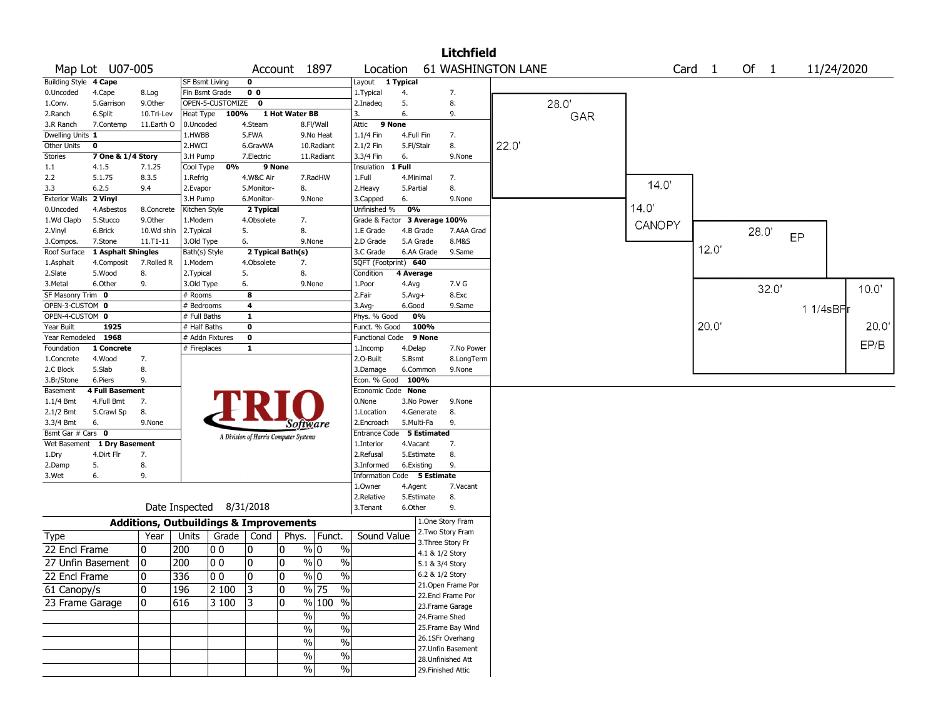|                               |                             |                                                   |                       |                          |                |                                       |                              |                             |                    |                 | <b>Litchfield</b>                       |       |       |        |        |       |            |       |
|-------------------------------|-----------------------------|---------------------------------------------------|-----------------------|--------------------------|----------------|---------------------------------------|------------------------------|-----------------------------|--------------------|-----------------|-----------------------------------------|-------|-------|--------|--------|-------|------------|-------|
|                               | Map Lot U07-005             |                                                   |                       |                          |                | Account 1897                          |                              | Location                    |                    |                 | <b>61 WASHINGTON LANE</b>               |       |       |        | Card 1 | Of 1  | 11/24/2020 |       |
| <b>Building Style 4 Cape</b>  |                             |                                                   | SF Bsmt Living        |                          | 0              |                                       |                              | Layout 1 Typical            |                    |                 |                                         |       |       |        |        |       |            |       |
| 0.Uncoded                     | 4.Cape                      | 8.Log                                             | Fin Bsmt Grade        |                          | 0 <sub>0</sub> |                                       |                              | 1.Typical                   | 4.                 |                 | 7.                                      |       |       |        |        |       |            |       |
| 1.Conv.                       | 5.Garrison                  | 9.0ther                                           |                       | OPEN-5-CUSTOMIZE         | $\mathbf 0$    |                                       |                              | 2.Inadeg                    | 5.                 |                 | 8.                                      |       | 28.0' |        |        |       |            |       |
| 2.Ranch                       | 6.Split                     | 10.Tri-Lev                                        | Heat Type             | 100%                     |                | 1 Hot Water BB                        |                              | 3.                          | 6.                 |                 | 9.                                      |       | GAR   |        |        |       |            |       |
| 3.R Ranch                     | 7.Contemp                   | 11.Earth O                                        | 0.Uncoded             |                          | 4.Steam        |                                       | 8.Fl/Wall                    | 9 None<br>Attic             |                    |                 |                                         |       |       |        |        |       |            |       |
| Dwelling Units 1              |                             |                                                   | 1.HWBB                |                          | 5.FWA          |                                       | 9.No Heat                    | 1.1/4 Fin                   | 4.Full Fin         |                 | 7.                                      |       |       |        |        |       |            |       |
| Other Units                   | $\mathbf 0$                 |                                                   | 2.HWCI                |                          | 6.GravWA       |                                       | 10.Radiant                   | 2.1/2 Fin                   | 5.Fl/Stair         |                 | 8.                                      | 22.0' |       |        |        |       |            |       |
| Stories                       | 7 One & 1/4 Story           |                                                   | 3.H Pump              |                          | 7.Electric     |                                       | 11.Radiant                   | 3.3/4 Fin                   | 6.                 |                 | 9.None                                  |       |       |        |        |       |            |       |
| 1.1                           | 4.1.5                       | 7.1.25                                            | Cool Type             | 0%                       |                | 9 None                                |                              | Insulation                  | 1 Full             |                 |                                         |       |       |        |        |       |            |       |
| 2.2                           | 5.1.75                      | 8.3.5                                             | 1.Refrig              |                          | 4.W&C Air      |                                       | 7.RadHW                      | 1.Full                      |                    | 4.Minimal       | 7.                                      |       |       | 14.0'  |        |       |            |       |
| 3.3                           | 6.2.5                       | 9.4                                               | 2.Evapor              |                          | 5.Monitor-     | 8.                                    |                              | 2. Heavy                    | 5.Partial          |                 | 8.                                      |       |       |        |        |       |            |       |
| <b>Exterior Walls</b>         | 2 Vinyl                     |                                                   | 3.H Pump              |                          | 6.Monitor-     |                                       | 9.None                       | 3.Capped                    | 6.                 |                 | 9.None                                  |       |       |        |        |       |            |       |
| 0.Uncoded                     | 4.Asbestos                  | 8.Concrete                                        | Kitchen Style         |                          | 2 Typical      |                                       |                              | Unfinished %                | 0%                 |                 |                                         |       |       | 14.0   |        |       |            |       |
| 1.Wd Clapb                    | 5.Stucco                    | 9.Other                                           | 1.Modern              |                          | 4.Obsolete     | 7.                                    |                              | Grade & Factor              |                    |                 | 3 Average 100%                          |       |       | CANOPY |        |       |            |       |
| 2.Vinyl                       | 6.Brick                     | 10.Wd shin                                        | 2. Typical            |                          | 5.             | 8.                                    |                              | 1.E Grade                   |                    | 4.B Grade       | 7.AAA Grad                              |       |       |        |        | 28.0  | EP         |       |
| 3.Compos.                     | 7.Stone                     | $11.71 - 11$                                      | 3.Old Type            |                          | 6.             |                                       | 9.None                       | 2.D Grade                   |                    | 5.A Grade       | 8.M&S                                   |       |       |        | 12.0'  |       |            |       |
| Roof Surface                  | 1 Asphalt Shingles          |                                                   | Bath(s) Style         |                          |                | 2 Typical Bath(s)                     |                              | 3.C Grade                   |                    | 6.AA Grade      | 9.Same                                  |       |       |        |        |       |            |       |
| 1.Asphalt                     | 4.Composit                  | 7.Rolled R                                        | 1.Modern              |                          | 4.Obsolete     | 7.                                    |                              | SQFT (Footprint) 640        |                    |                 |                                         |       |       |        |        |       |            |       |
| 2.Slate                       | 5.Wood                      | 8.                                                | 2. Typical            |                          | 5.             | 8.                                    |                              | Condition                   | 4 Average          |                 |                                         |       |       |        |        |       |            |       |
| 3. Metal<br>SF Masonry Trim 0 | 6.Other                     | 9.                                                | 3.Old Type<br># Rooms |                          | 6.<br>8        |                                       | 9.None                       | 1.Poor<br>2.Fair            | 4.Avg              |                 | 7.V G<br>8.Exc                          |       |       |        |        | 32.0' |            | 10.0' |
| OPEN-3-CUSTOM 0               |                             |                                                   | # Bedrooms            |                          | 4              |                                       |                              | 3.Avg-                      | $5.Avg+$<br>6.Good |                 | 9.Same                                  |       |       |        |        |       |            |       |
| OPEN-4-CUSTOM 0               |                             |                                                   | # Full Baths          |                          | 1              |                                       |                              | Phys. % Good                |                    | 0%              |                                         |       |       |        |        |       | 1 1/4sBF   |       |
| Year Built                    | 1925                        |                                                   | # Half Baths          |                          | $\mathbf 0$    |                                       |                              | Funct. % Good               |                    | 100%            |                                         |       |       |        | 20.0   |       |            | 20.0' |
| Year Remodeled 1968           |                             |                                                   |                       | # Addn Fixtures          | $\mathbf 0$    |                                       |                              | Functional Code 9 None      |                    |                 |                                         |       |       |        |        |       |            |       |
| Foundation                    | 1 Concrete                  |                                                   | # Fireplaces          |                          | 1              |                                       |                              | 1.Incomp                    | 4.Delap            |                 | 7.No Power                              |       |       |        |        |       |            | EP/B  |
| 1.Concrete                    | 4.Wood                      | 7.                                                |                       |                          |                |                                       |                              | 2.O-Built                   | 5.Bsmt             |                 | 8.LongTerm                              |       |       |        |        |       |            |       |
| 2.C Block                     | 5.Slab                      | 8.                                                |                       |                          |                |                                       |                              | 3.Damage                    |                    | 6.Common        | 9.None                                  |       |       |        |        |       |            |       |
| 3.Br/Stone                    | 6.Piers                     | 9.                                                |                       |                          |                |                                       |                              | Econ. % Good                |                    | 100%            |                                         |       |       |        |        |       |            |       |
| Basement                      | <b>4 Full Basement</b>      |                                                   |                       |                          |                |                                       |                              | Economic Code None          |                    |                 |                                         |       |       |        |        |       |            |       |
| $1.1/4$ Bmt                   | 4.Full Bmt                  | 7.                                                |                       |                          |                |                                       |                              | 0.None                      |                    | 3.No Power      | 9.None                                  |       |       |        |        |       |            |       |
| $2.1/2$ Bmt                   | 5.Crawl Sp                  | 8.                                                |                       |                          |                |                                       |                              | 1.Location                  |                    | 4.Generate      | 8.                                      |       |       |        |        |       |            |       |
| 3.3/4 Bmt                     | 6.                          | 9.None                                            |                       |                          |                | Software                              |                              | 2.Encroach                  |                    | 5.Multi-Fa      | 9.                                      |       |       |        |        |       |            |       |
| Bsmt Gar # Cars 0             |                             |                                                   |                       |                          |                | A Division of Harris Computer Systems |                              | Entrance Code 5 Estimated   |                    |                 |                                         |       |       |        |        |       |            |       |
|                               | Wet Basement 1 Dry Basement |                                                   |                       |                          |                |                                       |                              | 1.Interior                  | 4.Vacant           |                 | 7.                                      |       |       |        |        |       |            |       |
| 1.Dry                         | 4.Dirt Flr                  | 7.                                                |                       |                          |                |                                       |                              | 2.Refusal                   |                    | 5.Estimate      | 8.                                      |       |       |        |        |       |            |       |
| 2.Damp                        | 5.                          | 8.                                                |                       |                          |                |                                       |                              | 3.Informed                  |                    | 6.Existing      | 9.                                      |       |       |        |        |       |            |       |
| 3.Wet                         | 6.                          | 9.                                                |                       |                          |                |                                       |                              | Information Code 5 Estimate |                    |                 |                                         |       |       |        |        |       |            |       |
|                               |                             |                                                   |                       |                          |                |                                       |                              | 1.0wner                     | 4.Agent            |                 | 7.Vacant                                |       |       |        |        |       |            |       |
|                               |                             |                                                   |                       |                          |                |                                       |                              | 2.Relative                  |                    | 5.Estimate      | 8.                                      |       |       |        |        |       |            |       |
|                               |                             |                                                   |                       | Date Inspected 8/31/2018 |                |                                       |                              | 3. Tenant                   | 6.Other            |                 | 9.                                      |       |       |        |        |       |            |       |
|                               |                             | <b>Additions, Outbuildings &amp; Improvements</b> |                       |                          |                |                                       |                              |                             |                    |                 | 1.One Story Fram                        |       |       |        |        |       |            |       |
| Type                          |                             | Year                                              | Units                 | Grade                    | Cond           | Phys.                                 | Funct.                       | Sound Value                 |                    |                 | 2. Two Story Fram                       |       |       |        |        |       |            |       |
| 22 Encl Frame                 |                             | 0                                                 | 200                   | 0 <sub>0</sub>           | 10             | 0                                     | $\%$<br>% 0                  |                             |                    |                 | 3. Three Story Fr                       |       |       |        |        |       |            |       |
|                               |                             |                                                   |                       |                          |                |                                       |                              |                             |                    | 4.1 & 1/2 Story |                                         |       |       |        |        |       |            |       |
|                               | 27 Unfin Basement           | 0                                                 | 200                   | 0 <sub>0</sub>           | 10             | 0                                     | % 0<br>$\%$                  |                             |                    | 5.1 & 3/4 Story |                                         |       |       |        |        |       |            |       |
| 22 Encl Frame                 |                             | 0                                                 | 336                   | 10 O                     | 10             | 0                                     | $\sqrt{20}$<br>$\sqrt[9]{0}$ |                             |                    | 6.2 & 1/2 Story |                                         |       |       |        |        |       |            |       |
| 61 Canopy/s                   |                             | 0                                                 | 196                   | 2 100                    | $ 3\rangle$    | 0                                     | $\frac{9}{6}$ 75<br>$\%$     |                             |                    |                 | 21. Open Frame Por<br>22.Encl Frame Por |       |       |        |        |       |            |       |
| 23 Frame Garage               |                             | 0                                                 | 616                   | $ 3100\rangle$           | 13             | 0                                     | % 100 %                      |                             |                    |                 | 23. Frame Garage                        |       |       |        |        |       |            |       |
|                               |                             |                                                   |                       |                          |                | $\%$                                  | $\%$                         |                             |                    |                 | 24.Frame Shed                           |       |       |        |        |       |            |       |
|                               |                             |                                                   |                       |                          |                |                                       |                              |                             |                    |                 | 25. Frame Bay Wind                      |       |       |        |        |       |            |       |
|                               |                             |                                                   |                       |                          |                | $\frac{0}{0}$                         | $\%$                         |                             |                    |                 | 26.1SFr Overhang                        |       |       |        |        |       |            |       |
|                               |                             |                                                   |                       |                          |                | $\%$                                  | $\%$                         |                             |                    |                 | 27. Unfin Basement                      |       |       |        |        |       |            |       |
|                               |                             |                                                   |                       |                          |                | $\%$                                  | $\frac{1}{2}$                |                             |                    |                 | 28. Unfinished Att                      |       |       |        |        |       |            |       |
|                               |                             |                                                   |                       |                          |                | $\frac{0}{0}$                         | $\%$                         |                             |                    |                 | 29. Finished Attic                      |       |       |        |        |       |            |       |
|                               |                             |                                                   |                       |                          |                |                                       |                              |                             |                    |                 |                                         |       |       |        |        |       |            |       |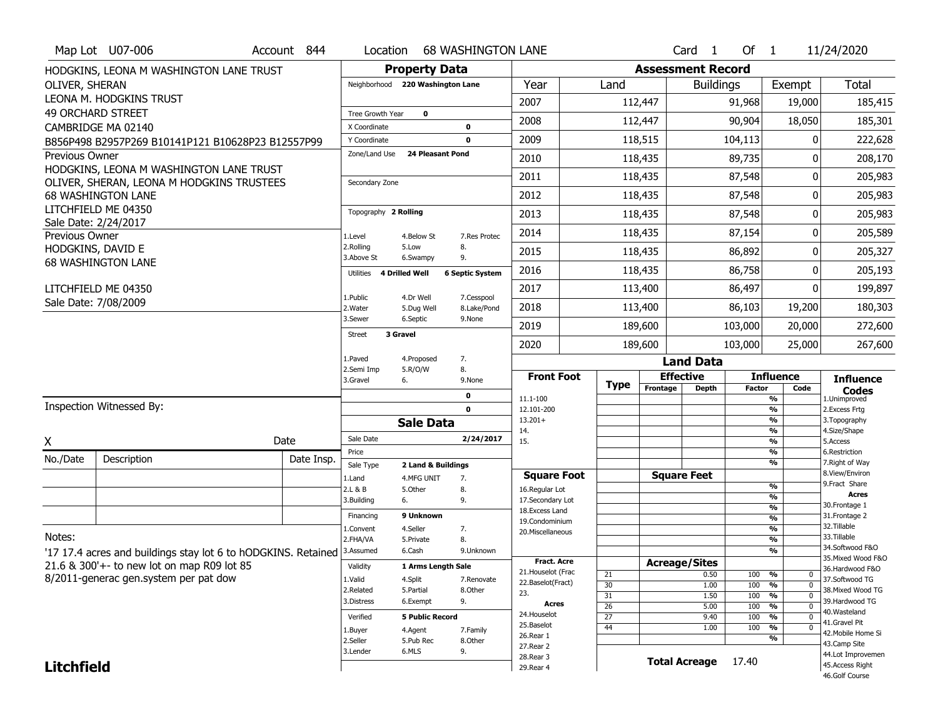|                   | Map Lot U07-006                                                                     | Account 844                                                                            | Location                         |                               | <b>68 WASHINGTON LANE</b> |                                      |             |                                    |                          | Card <sub>1</sub>    | Of $1$             |                                                  | 11/24/2020                           |  |  |
|-------------------|-------------------------------------------------------------------------------------|----------------------------------------------------------------------------------------|----------------------------------|-------------------------------|---------------------------|--------------------------------------|-------------|------------------------------------|--------------------------|----------------------|--------------------|--------------------------------------------------|--------------------------------------|--|--|
|                   | HODGKINS, LEONA M WASHINGTON LANE TRUST                                             |                                                                                        | <b>Property Data</b>             |                               |                           |                                      |             |                                    | <b>Assessment Record</b> |                      |                    |                                                  |                                      |  |  |
| OLIVER, SHERAN    |                                                                                     |                                                                                        | Neighborhood 220 Washington Lane |                               | Year                      | Land                                 |             | <b>Buildings</b>                   |                          |                      | Exempt             | Total                                            |                                      |  |  |
|                   | LEONA M. HODGKINS TRUST                                                             |                                                                                        |                                  |                               |                           | 2007                                 |             | 112,447                            |                          |                      | 91,968             | 19,000                                           | 185,415                              |  |  |
|                   | <b>49 ORCHARD STREET</b>                                                            |                                                                                        | Tree Growth Year                 | $\mathbf 0$                   |                           | 2008                                 |             | 112,447                            |                          |                      | 90,904             | 18,050                                           | 185,301                              |  |  |
|                   | CAMBRIDGE MA 02140                                                                  | X Coordinate                                                                           |                                  | $\mathbf 0$                   | 2009                      |                                      |             |                                    |                          |                      |                    |                                                  |                                      |  |  |
|                   | B856P498 B2957P269 B10141P121 B10628P23 B12557P99                                   | Y Coordinate<br>Zone/Land Use                                                          | <b>24 Pleasant Pond</b>          | $\mathbf 0$                   |                           | 118,515                              |             |                                    |                          | 104,113              |                    | 222,628                                          |                                      |  |  |
| Previous Owner    | HODGKINS, LEONA M WASHINGTON LANE TRUST                                             |                                                                                        |                                  |                               | 2010                      | 118,435                              |             |                                    |                          | 89,735               |                    | 208,170<br>O                                     |                                      |  |  |
|                   | OLIVER, SHERAN, LEONA M HODGKINS TRUSTEES                                           | Secondary Zone                                                                         |                                  |                               | 2011                      | 118,435                              |             |                                    |                          | 87,548               | O                  | 205,983                                          |                                      |  |  |
|                   | <b>68 WASHINGTON LANE</b>                                                           |                                                                                        |                                  |                               |                           | 2012                                 | 118,435     |                                    |                          |                      | 87,548             | 0                                                | 205,983                              |  |  |
|                   | LITCHFIELD ME 04350                                                                 |                                                                                        | Topography 2 Rolling             |                               | 2013                      |                                      | 118,435     |                                    |                          | 87,548               | 0                  | 205,983                                          |                                      |  |  |
|                   | Sale Date: 2/24/2017                                                                |                                                                                        |                                  |                               |                           | 2014                                 |             | 118,435                            |                          |                      | 87,154             | 0                                                | 205,589                              |  |  |
| Previous Owner    | HODGKINS, DAVID E                                                                   |                                                                                        | 1.Level<br>2.Rolling             | 4.Below St<br>5.Low           | 7.Res Protec<br>8.        | 2015                                 |             | 118,435                            |                          |                      | 86,892             | O                                                |                                      |  |  |
|                   | <b>68 WASHINGTON LANE</b>                                                           |                                                                                        | 3.Above St                       | 6.Swampy                      | 9.                        |                                      |             |                                    |                          |                      | 86,758             |                                                  | 205,327                              |  |  |
|                   |                                                                                     | Utilities                                                                              | 4 Drilled Well                   | <b>6 Septic System</b>        | 2016                      |                                      | 118,435     |                                    |                          |                      | O                  | 205,193                                          |                                      |  |  |
|                   | LITCHFIELD ME 04350                                                                 |                                                                                        | 1.Public                         | 4.Dr Well                     | 7.Cesspool                | 2017                                 |             | 113,400                            |                          | 86,497               |                    | 0                                                | 199,897                              |  |  |
|                   | Sale Date: 7/08/2009                                                                | 2.Water                                                                                | 5.Dug Well                       | 8.Lake/Pond                   | 2018                      |                                      |             | 113,400                            |                          | 86,103               | 19,200             | 180,303                                          |                                      |  |  |
|                   |                                                                                     | 3.Sewer                                                                                | 6.Septic                         | 9.None                        | 2019                      |                                      | 189,600     |                                    | 103,000                  |                      | 20,000             | 272,600                                          |                                      |  |  |
|                   |                                                                                     | 3 Gravel<br><b>Street</b>                                                              |                                  |                               | 2020                      |                                      | 189,600     |                                    | 103,000                  |                      | 25,000             | 267,600                                          |                                      |  |  |
|                   |                                                                                     | 1.Paved<br>4.Proposed<br>7.<br>2.Semi Imp<br>5.R/O/W<br>8.<br>3.Gravel<br>6.<br>9.None |                                  |                               |                           |                                      |             |                                    | <b>Land Data</b>         |                      |                    |                                                  |                                      |  |  |
|                   |                                                                                     |                                                                                        |                                  |                               | <b>Front Foot</b>         |                                      |             |                                    | <b>Effective</b>         |                      | <b>Influence</b>   | <b>Influence</b>                                 |                                      |  |  |
|                   |                                                                                     | 0                                                                                      |                                  |                               |                           |                                      | <b>Type</b> | Frontage<br><b>Depth</b>           |                          | <b>Factor</b>        | Code               | Codes                                            |                                      |  |  |
|                   | Inspection Witnessed By:                                                            |                                                                                        |                                  | $\mathbf 0$                   | 11.1-100                  |                                      |             |                                    |                          |                      | %<br>$\frac{9}{6}$ | 1.Unimproved<br>2. Excess Frtg                   |                                      |  |  |
|                   |                                                                                     | <b>Sale Data</b>                                                                       |                                  |                               | 12.101-200                |                                      |             |                                    |                          |                      |                    |                                                  |                                      |  |  |
| X                 |                                                                                     |                                                                                        |                                  |                               |                           | $13.201+$                            |             |                                    |                          |                      |                    | %                                                | 3. Topography                        |  |  |
|                   |                                                                                     |                                                                                        | Sale Date                        |                               | 2/24/2017                 | 14.<br>15.                           |             |                                    |                          |                      |                    | %<br>%                                           | 4.Size/Shape<br>5.Access             |  |  |
|                   |                                                                                     | Date                                                                                   | Price                            |                               |                           |                                      |             |                                    |                          |                      |                    | %                                                | 6.Restriction                        |  |  |
| No./Date          | Description                                                                         | Date Insp.                                                                             | Sale Type                        | 2 Land & Buildings            |                           |                                      |             |                                    |                          |                      |                    | %                                                | 7. Right of Way<br>8.View/Environ    |  |  |
|                   |                                                                                     |                                                                                        | 1.Land<br>2.L & B                | 4.MFG UNIT<br>5.0ther         | 7.<br>8.                  | <b>Square Foot</b><br>16.Regular Lot |             |                                    |                          | <b>Square Feet</b>   |                    | $\frac{9}{6}$                                    | 9.Fract Share                        |  |  |
|                   |                                                                                     |                                                                                        | 3.Building                       | 6.                            | 9.                        | 17.Secondary Lot                     |             |                                    |                          |                      |                    | %                                                | Acres<br>30. Frontage 1              |  |  |
|                   |                                                                                     |                                                                                        | Financing                        | 9 Unknown                     |                           | 18.Excess Land<br>19.Condominium     |             |                                    |                          |                      |                    | $\frac{9}{6}$<br>%                               | 31. Frontage 2                       |  |  |
|                   |                                                                                     |                                                                                        | 1.Convent                        | 4.Seller                      | 7.                        | 20. Miscellaneous                    |             |                                    |                          |                      |                    | $\frac{9}{6}$                                    | 32.Tillable                          |  |  |
| Notes:            |                                                                                     |                                                                                        | 2.FHA/VA<br>3.Assumed            | 5.Private<br>6.Cash           | 8.<br>9.Unknown           |                                      |             |                                    |                          |                      |                    | %<br>%                                           | 33.Tillable<br>34.Softwood F&O       |  |  |
|                   | '17 17.4 acres and buildings stay lot 6 to hODGKINS. Retained                       |                                                                                        | Validity                         |                               |                           | <b>Fract, Acre</b>                   |             |                                    | <b>Acreage/Sites</b>     |                      |                    |                                                  | 35. Mixed Wood F&O                   |  |  |
|                   | 21.6 & 300'+- to new lot on map R09 lot 85<br>8/2011-generac gen.system per pat dow |                                                                                        | 1.Valid                          | 1 Arms Length Sale<br>4.Split | 7.Renovate                | 21. Houselot (Frac                   |             | 21                                 |                          | 0.50                 | 100                | %<br>0                                           | 36.Hardwood F&O<br>37.Softwood TG    |  |  |
|                   |                                                                                     |                                                                                        | 2.Related                        | 5.Partial                     | 8.Other                   | 22.Baselot(Fract)<br>23.             |             | 30                                 |                          | 1.00                 | 100                | $\overline{0}$<br>%<br>$\overline{0}$            | 38. Mixed Wood TG                    |  |  |
|                   |                                                                                     |                                                                                        | 3.Distress                       | 6.Exempt                      | 9.                        | Acres                                |             | $\overline{31}$<br>$\overline{26}$ |                          | 1.50<br>5.00         | 100<br>100         | $\frac{9}{6}$<br>$\frac{9}{6}$<br>$\overline{0}$ | 39.Hardwood TG                       |  |  |
|                   |                                                                                     |                                                                                        | Verified                         | <b>5 Public Record</b>        |                           | 24. Houselot                         |             | $\overline{27}$                    |                          | 9.40                 | 100                | $\frac{9}{6}$<br>$\mathbf 0$                     | 40. Wasteland<br>41.Gravel Pit       |  |  |
|                   |                                                                                     |                                                                                        | 1.Buyer                          | 4.Agent                       | 7.Family                  | 25.Baselot                           |             | $\overline{44}$                    |                          | 1.00                 | 100                | $\frac{9}{6}$<br>$\overline{0}$                  | 42. Mobile Home Si                   |  |  |
|                   |                                                                                     |                                                                                        | 2.Seller                         | 5.Pub Rec                     | 8.Other                   | 26.Rear 1<br>27.Rear 2               |             |                                    |                          |                      |                    | %                                                | 43.Camp Site                         |  |  |
| <b>Litchfield</b> |                                                                                     |                                                                                        | 3.Lender                         | 6.MLS                         | 9.                        | 28. Rear 3<br>29. Rear 4             |             |                                    |                          | <b>Total Acreage</b> | 17.40              |                                                  | 44.Lot Improvemen<br>45.Access Right |  |  |